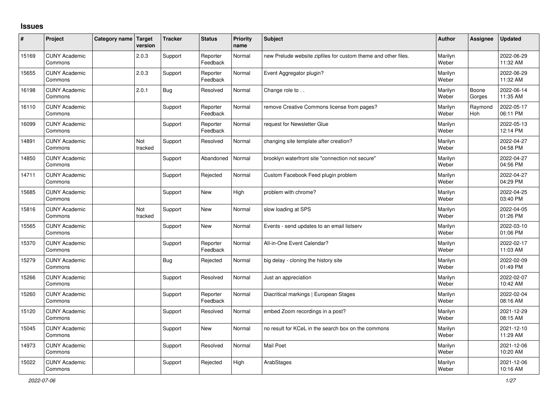## **Issues**

| ∦     | Project                         | Category name Target | version        | <b>Tracker</b> | <b>Status</b>        | <b>Priority</b><br>name | <b>Subject</b>                                                 | <b>Author</b>    | Assignee              | <b>Updated</b>         |
|-------|---------------------------------|----------------------|----------------|----------------|----------------------|-------------------------|----------------------------------------------------------------|------------------|-----------------------|------------------------|
| 15169 | <b>CUNY Academic</b><br>Commons |                      | 2.0.3          | Support        | Reporter<br>Feedback | Normal                  | new Prelude website zipfiles for custom theme and other files. | Marilyn<br>Weber |                       | 2022-06-29<br>11:32 AM |
| 15655 | <b>CUNY Academic</b><br>Commons |                      | 2.0.3          | Support        | Reporter<br>Feedback | Normal                  | Event Aggregator plugin?                                       | Marilyn<br>Weber |                       | 2022-06-29<br>11:32 AM |
| 16198 | <b>CUNY Academic</b><br>Commons |                      | 2.0.1          | Bug            | Resolved             | Normal                  | Change role to                                                 | Marilyn<br>Weber | Boone<br>Gorges       | 2022-06-14<br>11:35 AM |
| 16110 | <b>CUNY Academic</b><br>Commons |                      |                | Support        | Reporter<br>Feedback | Normal                  | remove Creative Commons license from pages?                    | Marilyn<br>Weber | Raymond<br><b>Hoh</b> | 2022-05-17<br>06:11 PM |
| 16099 | <b>CUNY Academic</b><br>Commons |                      |                | Support        | Reporter<br>Feedback | Normal                  | request for Newsletter Glue                                    | Marilyn<br>Weber |                       | 2022-05-13<br>12:14 PM |
| 14891 | <b>CUNY Academic</b><br>Commons |                      | Not<br>tracked | Support        | Resolved             | Normal                  | changing site template after creation?                         | Marilyn<br>Weber |                       | 2022-04-27<br>04:58 PM |
| 14850 | <b>CUNY Academic</b><br>Commons |                      |                | Support        | Abandoned            | Normal                  | brooklyn waterfront site "connection not secure"               | Marilyn<br>Weber |                       | 2022-04-27<br>04:56 PM |
| 14711 | <b>CUNY Academic</b><br>Commons |                      |                | Support        | Rejected             | Normal                  | Custom Facebook Feed plugin problem                            | Marilyn<br>Weber |                       | 2022-04-27<br>04:29 PM |
| 15685 | <b>CUNY Academic</b><br>Commons |                      |                | Support        | <b>New</b>           | High                    | problem with chrome?                                           | Marilyn<br>Weber |                       | 2022-04-25<br>03:40 PM |
| 15816 | <b>CUNY Academic</b><br>Commons |                      | Not<br>tracked | Support        | <b>New</b>           | Normal                  | slow loading at SPS                                            | Marilyn<br>Weber |                       | 2022-04-05<br>01:26 PM |
| 15565 | <b>CUNY Academic</b><br>Commons |                      |                | Support        | <b>New</b>           | Normal                  | Events - send updates to an email listserv                     | Marilyn<br>Weber |                       | 2022-03-10<br>01:06 PM |
| 15370 | <b>CUNY Academic</b><br>Commons |                      |                | Support        | Reporter<br>Feedback | Normal                  | All-in-One Event Calendar?                                     | Marilyn<br>Weber |                       | 2022-02-17<br>11:03 AM |
| 15279 | <b>CUNY Academic</b><br>Commons |                      |                | <b>Bug</b>     | Rejected             | Normal                  | big delay - cloning the history site                           | Marilyn<br>Weber |                       | 2022-02-09<br>01:49 PM |
| 15266 | <b>CUNY Academic</b><br>Commons |                      |                | Support        | Resolved             | Normal                  | Just an appreciation                                           | Marilyn<br>Weber |                       | 2022-02-07<br>10:42 AM |
| 15260 | <b>CUNY Academic</b><br>Commons |                      |                | Support        | Reporter<br>Feedback | Normal                  | Diacritical markings   European Stages                         | Marilyn<br>Weber |                       | 2022-02-04<br>08:16 AM |
| 15120 | <b>CUNY Academic</b><br>Commons |                      |                | Support        | Resolved             | Normal                  | embed Zoom recordings in a post?                               | Marilyn<br>Weber |                       | 2021-12-29<br>08:15 AM |
| 15045 | <b>CUNY Academic</b><br>Commons |                      |                | Support        | <b>New</b>           | Normal                  | no result for KCeL in the search box on the commons            | Marilyn<br>Weber |                       | 2021-12-10<br>11:29 AM |
| 14973 | <b>CUNY Academic</b><br>Commons |                      |                | Support        | Resolved             | Normal                  | <b>Mail Poet</b>                                               | Marilyn<br>Weber |                       | 2021-12-06<br>10:20 AM |
| 15022 | <b>CUNY Academic</b><br>Commons |                      |                | Support        | Rejected             | High                    | ArabStages                                                     | Marilyn<br>Weber |                       | 2021-12-06<br>10:16 AM |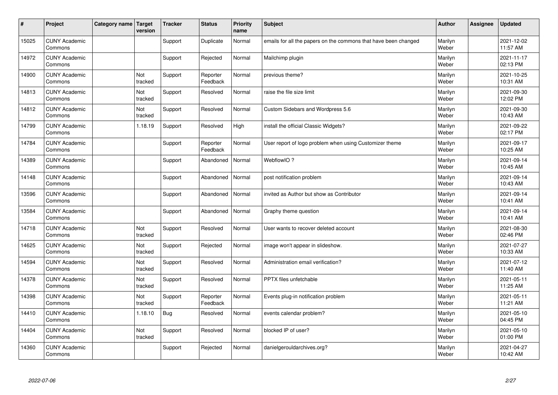| #     | Project                         | Category name   Target | version        | <b>Tracker</b> | <b>Status</b>        | <b>Priority</b><br>name | <b>Subject</b>                                                  | <b>Author</b>    | <b>Assignee</b> | <b>Updated</b>         |
|-------|---------------------------------|------------------------|----------------|----------------|----------------------|-------------------------|-----------------------------------------------------------------|------------------|-----------------|------------------------|
| 15025 | <b>CUNY Academic</b><br>Commons |                        |                | Support        | Duplicate            | Normal                  | emails for all the papers on the commons that have been changed | Marilyn<br>Weber |                 | 2021-12-02<br>11:57 AM |
| 14972 | <b>CUNY Academic</b><br>Commons |                        |                | Support        | Rejected             | Normal                  | Mailchimp plugin                                                | Marilyn<br>Weber |                 | 2021-11-17<br>02:13 PM |
| 14900 | <b>CUNY Academic</b><br>Commons |                        | Not<br>tracked | Support        | Reporter<br>Feedback | Normal                  | previous theme?                                                 | Marilyn<br>Weber |                 | 2021-10-25<br>10:31 AM |
| 14813 | <b>CUNY Academic</b><br>Commons |                        | Not<br>tracked | Support        | Resolved             | Normal                  | raise the file size limit                                       | Marilyn<br>Weber |                 | 2021-09-30<br>12:02 PM |
| 14812 | <b>CUNY Academic</b><br>Commons |                        | Not<br>tracked | Support        | Resolved             | Normal                  | Custom Sidebars and Wordpress 5.6                               | Marilyn<br>Weber |                 | 2021-09-30<br>10:43 AM |
| 14799 | <b>CUNY Academic</b><br>Commons |                        | 1.18.19        | Support        | Resolved             | High                    | install the official Classic Widgets?                           | Marilyn<br>Weber |                 | 2021-09-22<br>02:17 PM |
| 14784 | <b>CUNY Academic</b><br>Commons |                        |                | Support        | Reporter<br>Feedback | Normal                  | User report of logo problem when using Customizer theme         | Marilyn<br>Weber |                 | 2021-09-17<br>10:25 AM |
| 14389 | <b>CUNY Academic</b><br>Commons |                        |                | Support        | Abandoned            | Normal                  | WebflowIO?                                                      | Marilyn<br>Weber |                 | 2021-09-14<br>10:45 AM |
| 14148 | <b>CUNY Academic</b><br>Commons |                        |                | Support        | Abandoned            | Normal                  | post notification problem                                       | Marilyn<br>Weber |                 | 2021-09-14<br>10:43 AM |
| 13596 | <b>CUNY Academic</b><br>Commons |                        |                | Support        | Abandoned            | Normal                  | invited as Author but show as Contributor                       | Marilyn<br>Weber |                 | 2021-09-14<br>10:41 AM |
| 13584 | <b>CUNY Academic</b><br>Commons |                        |                | Support        | Abandoned            | Normal                  | Graphy theme question                                           | Marilyn<br>Weber |                 | 2021-09-14<br>10:41 AM |
| 14718 | <b>CUNY Academic</b><br>Commons |                        | Not<br>tracked | Support        | Resolved             | Normal                  | User wants to recover deleted account                           | Marilyn<br>Weber |                 | 2021-08-30<br>02:46 PM |
| 14625 | <b>CUNY Academic</b><br>Commons |                        | Not<br>tracked | Support        | Rejected             | Normal                  | image won't appear in slideshow.                                | Marilyn<br>Weber |                 | 2021-07-27<br>10:33 AM |
| 14594 | <b>CUNY Academic</b><br>Commons |                        | Not<br>tracked | Support        | Resolved             | Normal                  | Administration email verification?                              | Marilyn<br>Weber |                 | 2021-07-12<br>11:40 AM |
| 14378 | <b>CUNY Academic</b><br>Commons |                        | Not<br>tracked | Support        | Resolved             | Normal                  | PPTX files unfetchable                                          | Marilyn<br>Weber |                 | 2021-05-11<br>11:25 AM |
| 14398 | <b>CUNY Academic</b><br>Commons |                        | Not<br>tracked | Support        | Reporter<br>Feedback | Normal                  | Events plug-in notification problem                             | Marilyn<br>Weber |                 | 2021-05-11<br>11:21 AM |
| 14410 | <b>CUNY Academic</b><br>Commons |                        | 1.18.10        | <b>Bug</b>     | Resolved             | Normal                  | events calendar problem?                                        | Marilyn<br>Weber |                 | 2021-05-10<br>04:45 PM |
| 14404 | <b>CUNY Academic</b><br>Commons |                        | Not<br>tracked | Support        | Resolved             | Normal                  | blocked IP of user?                                             | Marilyn<br>Weber |                 | 2021-05-10<br>01:00 PM |
| 14360 | <b>CUNY Academic</b><br>Commons |                        |                | Support        | Rejected             | Normal                  | danielgerouldarchives.org?                                      | Marilyn<br>Weber |                 | 2021-04-27<br>10:42 AM |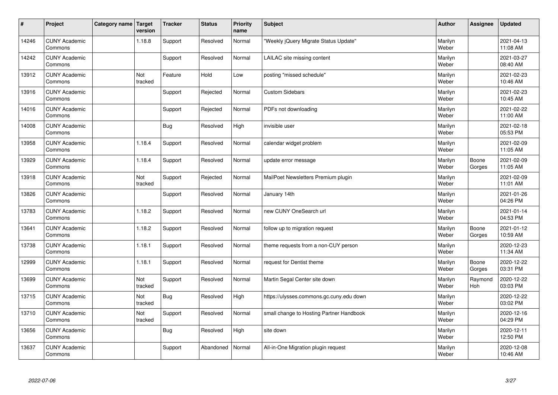| $\vert$ # | Project                         | Category name   Target | version        | <b>Tracker</b> | <b>Status</b> | <b>Priority</b><br>name | <b>Subject</b>                           | <b>Author</b>    | <b>Assignee</b> | <b>Updated</b>         |
|-----------|---------------------------------|------------------------|----------------|----------------|---------------|-------------------------|------------------------------------------|------------------|-----------------|------------------------|
| 14246     | <b>CUNY Academic</b><br>Commons |                        | 1.18.8         | Support        | Resolved      | Normal                  | 'Weekly jQuery Migrate Status Update"    | Marilyn<br>Weber |                 | 2021-04-13<br>11:08 AM |
| 14242     | <b>CUNY Academic</b><br>Commons |                        |                | Support        | Resolved      | Normal                  | LAILAC site missing content              | Marilyn<br>Weber |                 | 2021-03-27<br>08:40 AM |
| 13912     | <b>CUNY Academic</b><br>Commons |                        | Not<br>tracked | Feature        | Hold          | Low                     | posting "missed schedule"                | Marilyn<br>Weber |                 | 2021-02-23<br>10:46 AM |
| 13916     | <b>CUNY Academic</b><br>Commons |                        |                | Support        | Rejected      | Normal                  | <b>Custom Sidebars</b>                   | Marilyn<br>Weber |                 | 2021-02-23<br>10:45 AM |
| 14016     | <b>CUNY Academic</b><br>Commons |                        |                | Support        | Rejected      | Normal                  | PDFs not downloading                     | Marilyn<br>Weber |                 | 2021-02-22<br>11:00 AM |
| 14008     | <b>CUNY Academic</b><br>Commons |                        |                | Bug            | Resolved      | High                    | invisible user                           | Marilyn<br>Weber |                 | 2021-02-18<br>05:53 PM |
| 13958     | <b>CUNY Academic</b><br>Commons |                        | 1.18.4         | Support        | Resolved      | Normal                  | calendar widget problem                  | Marilyn<br>Weber |                 | 2021-02-09<br>11:05 AM |
| 13929     | <b>CUNY Academic</b><br>Commons |                        | 1.18.4         | Support        | Resolved      | Normal                  | update error message                     | Marilyn<br>Weber | Boone<br>Gorges | 2021-02-09<br>11:05 AM |
| 13918     | <b>CUNY Academic</b><br>Commons |                        | Not<br>tracked | Support        | Rejected      | Normal                  | MailPoet Newsletters Premium plugin      | Marilyn<br>Weber |                 | 2021-02-09<br>11:01 AM |
| 13826     | <b>CUNY Academic</b><br>Commons |                        |                | Support        | Resolved      | Normal                  | January 14th                             | Marilyn<br>Weber |                 | 2021-01-26<br>04:26 PM |
| 13783     | <b>CUNY Academic</b><br>Commons |                        | 1.18.2         | Support        | Resolved      | Normal                  | new CUNY OneSearch url                   | Marilyn<br>Weber |                 | 2021-01-14<br>04:53 PM |
| 13641     | <b>CUNY Academic</b><br>Commons |                        | 1.18.2         | Support        | Resolved      | Normal                  | follow up to migration request           | Marilyn<br>Weber | Boone<br>Gorges | 2021-01-12<br>10:59 AM |
| 13738     | <b>CUNY Academic</b><br>Commons |                        | 1.18.1         | Support        | Resolved      | Normal                  | theme requests from a non-CUY person     | Marilyn<br>Weber |                 | 2020-12-23<br>11:34 AM |
| 12999     | <b>CUNY Academic</b><br>Commons |                        | 1.18.1         | Support        | Resolved      | Normal                  | request for Dentist theme                | Marilyn<br>Weber | Boone<br>Gorges | 2020-12-22<br>03:31 PM |
| 13699     | <b>CUNY Academic</b><br>Commons |                        | Not<br>tracked | Support        | Resolved      | Normal                  | Martin Segal Center site down            | Marilyn<br>Weber | Raymond<br>Hoh  | 2020-12-22<br>03:03 PM |
| 13715     | <b>CUNY Academic</b><br>Commons |                        | Not<br>tracked | <b>Bug</b>     | Resolved      | High                    | https://ulysses.commons.gc.cuny.edu down | Marilyn<br>Weber |                 | 2020-12-22<br>03:02 PM |
| 13710     | <b>CUNY Academic</b><br>Commons |                        | Not<br>tracked | Support        | Resolved      | Normal                  | small change to Hosting Partner Handbook | Marilyn<br>Weber |                 | 2020-12-16<br>04:29 PM |
| 13656     | <b>CUNY Academic</b><br>Commons |                        |                | <b>Bug</b>     | Resolved      | High                    | site down                                | Marilyn<br>Weber |                 | 2020-12-11<br>12:50 PM |
| 13637     | <b>CUNY Academic</b><br>Commons |                        |                | Support        | Abandoned     | Normal                  | All-in-One Migration plugin request      | Marilyn<br>Weber |                 | 2020-12-08<br>10:46 AM |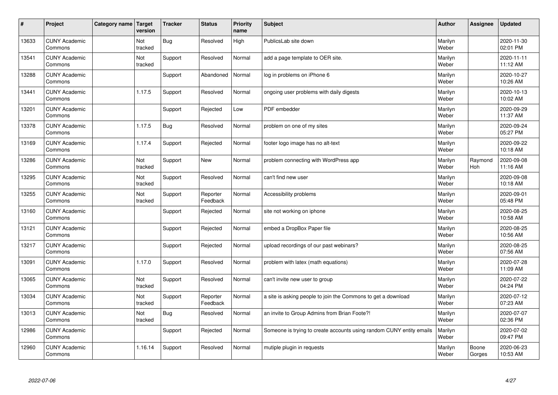| $\sharp$ | Project                         | Category name | Target<br>version | <b>Tracker</b> | <b>Status</b>        | <b>Priority</b><br>name | <b>Subject</b>                                                       | <b>Author</b>    | Assignee        | <b>Updated</b>         |
|----------|---------------------------------|---------------|-------------------|----------------|----------------------|-------------------------|----------------------------------------------------------------------|------------------|-----------------|------------------------|
| 13633    | <b>CUNY Academic</b><br>Commons |               | Not<br>tracked    | <b>Bug</b>     | Resolved             | High                    | PublicsLab site down                                                 | Marilyn<br>Weber |                 | 2020-11-30<br>02:01 PM |
| 13541    | <b>CUNY Academic</b><br>Commons |               | Not<br>tracked    | Support        | Resolved             | Normal                  | add a page template to OER site.                                     | Marilyn<br>Weber |                 | 2020-11-11<br>11:12 AM |
| 13288    | <b>CUNY Academic</b><br>Commons |               |                   | Support        | Abandoned            | Normal                  | log in problems on iPhone 6                                          | Marilyn<br>Weber |                 | 2020-10-27<br>10:26 AM |
| 13441    | <b>CUNY Academic</b><br>Commons |               | 1.17.5            | Support        | Resolved             | Normal                  | ongoing user problems with daily digests                             | Marilyn<br>Weber |                 | 2020-10-13<br>10:02 AM |
| 13201    | <b>CUNY Academic</b><br>Commons |               |                   | Support        | Rejected             | Low                     | PDF embedder                                                         | Marilyn<br>Weber |                 | 2020-09-29<br>11:37 AM |
| 13378    | <b>CUNY Academic</b><br>Commons |               | 1.17.5            | <b>Bug</b>     | Resolved             | Normal                  | problem on one of my sites                                           | Marilyn<br>Weber |                 | 2020-09-24<br>05:27 PM |
| 13169    | <b>CUNY Academic</b><br>Commons |               | 1.17.4            | Support        | Rejected             | Normal                  | footer logo image has no alt-text                                    | Marilyn<br>Weber |                 | 2020-09-22<br>10:18 AM |
| 13286    | <b>CUNY Academic</b><br>Commons |               | Not<br>tracked    | Support        | <b>New</b>           | Normal                  | problem connecting with WordPress app                                | Marilyn<br>Weber | Raymond<br>Hoh  | 2020-09-08<br>11:16 AM |
| 13295    | <b>CUNY Academic</b><br>Commons |               | Not<br>tracked    | Support        | Resolved             | Normal                  | can't find new user                                                  | Marilyn<br>Weber |                 | 2020-09-08<br>10:18 AM |
| 13255    | <b>CUNY Academic</b><br>Commons |               | Not<br>tracked    | Support        | Reporter<br>Feedback | Normal                  | Accessibility problems                                               | Marilyn<br>Weber |                 | 2020-09-01<br>05:48 PM |
| 13160    | <b>CUNY Academic</b><br>Commons |               |                   | Support        | Rejected             | Normal                  | site not working on iphone                                           | Marilyn<br>Weber |                 | 2020-08-25<br>10:58 AM |
| 13121    | <b>CUNY Academic</b><br>Commons |               |                   | Support        | Rejected             | Normal                  | embed a DropBox Paper file                                           | Marilyn<br>Weber |                 | 2020-08-25<br>10:56 AM |
| 13217    | <b>CUNY Academic</b><br>Commons |               |                   | Support        | Rejected             | Normal                  | upload recordings of our past webinars?                              | Marilyn<br>Weber |                 | 2020-08-25<br>07:56 AM |
| 13091    | <b>CUNY Academic</b><br>Commons |               | 1.17.0            | Support        | Resolved             | Normal                  | problem with latex (math equations)                                  | Marilyn<br>Weber |                 | 2020-07-28<br>11:09 AM |
| 13065    | <b>CUNY Academic</b><br>Commons |               | Not<br>tracked    | Support        | Resolved             | Normal                  | can't invite new user to group                                       | Marilyn<br>Weber |                 | 2020-07-22<br>04:24 PM |
| 13034    | <b>CUNY Academic</b><br>Commons |               | Not<br>tracked    | Support        | Reporter<br>Feedback | Normal                  | a site is asking people to join the Commons to get a download        | Marilyn<br>Weber |                 | 2020-07-12<br>07:23 AM |
| 13013    | <b>CUNY Academic</b><br>Commons |               | Not<br>tracked    | <b>Bug</b>     | Resolved             | Normal                  | an invite to Group Admins from Brian Foote?!                         | Marilyn<br>Weber |                 | 2020-07-07<br>02:36 PM |
| 12986    | <b>CUNY Academic</b><br>Commons |               |                   | Support        | Rejected             | Normal                  | Someone is trying to create accounts using random CUNY entity emails | Marilyn<br>Weber |                 | 2020-07-02<br>09:47 PM |
| 12960    | <b>CUNY Academic</b><br>Commons |               | 1.16.14           | Support        | Resolved             | Normal                  | mutiple plugin in requests                                           | Marilyn<br>Weber | Boone<br>Gorges | 2020-06-23<br>10:53 AM |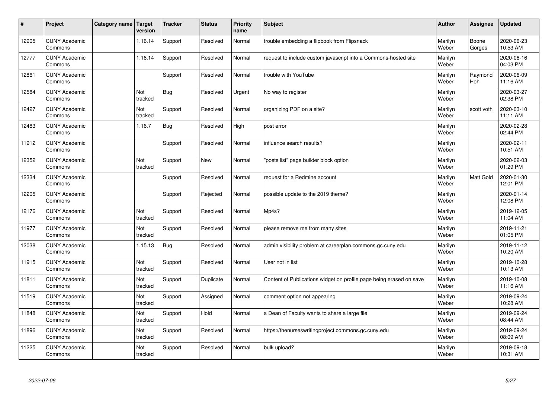| $\vert$ # | Project                         | Category name   Target | version        | <b>Tracker</b> | <b>Status</b> | <b>Priority</b><br>name | <b>Subject</b>                                                      | <b>Author</b>    | Assignee              | <b>Updated</b>         |
|-----------|---------------------------------|------------------------|----------------|----------------|---------------|-------------------------|---------------------------------------------------------------------|------------------|-----------------------|------------------------|
| 12905     | <b>CUNY Academic</b><br>Commons |                        | 1.16.14        | Support        | Resolved      | Normal                  | trouble embedding a flipbook from Flipsnack                         | Marilyn<br>Weber | Boone<br>Gorges       | 2020-06-23<br>10:53 AM |
| 12777     | <b>CUNY Academic</b><br>Commons |                        | 1.16.14        | Support        | Resolved      | Normal                  | request to include custom javascript into a Commons-hosted site     | Marilyn<br>Weber |                       | 2020-06-16<br>04:03 PM |
| 12861     | <b>CUNY Academic</b><br>Commons |                        |                | Support        | Resolved      | Normal                  | trouble with YouTube                                                | Marilyn<br>Weber | Raymond<br><b>Hoh</b> | 2020-06-09<br>11:16 AM |
| 12584     | <b>CUNY Academic</b><br>Commons |                        | Not<br>tracked | Bug            | Resolved      | Urgent                  | No way to register                                                  | Marilyn<br>Weber |                       | 2020-03-27<br>02:38 PM |
| 12427     | <b>CUNY Academic</b><br>Commons |                        | Not<br>tracked | Support        | Resolved      | Normal                  | organizing PDF on a site?                                           | Marilyn<br>Weber | scott voth            | 2020-03-10<br>11:11 AM |
| 12483     | <b>CUNY Academic</b><br>Commons |                        | 1.16.7         | <b>Bug</b>     | Resolved      | High                    | post error                                                          | Marilyn<br>Weber |                       | 2020-02-28<br>02:44 PM |
| 11912     | <b>CUNY Academic</b><br>Commons |                        |                | Support        | Resolved      | Normal                  | influence search results?                                           | Marilyn<br>Weber |                       | 2020-02-11<br>10:51 AM |
| 12352     | <b>CUNY Academic</b><br>Commons |                        | Not<br>tracked | Support        | <b>New</b>    | Normal                  | 'posts list" page builder block option                              | Marilyn<br>Weber |                       | 2020-02-03<br>01:29 PM |
| 12334     | <b>CUNY Academic</b><br>Commons |                        |                | Support        | Resolved      | Normal                  | request for a Redmine account                                       | Marilyn<br>Weber | Matt Gold             | 2020-01-30<br>12:01 PM |
| 12205     | <b>CUNY Academic</b><br>Commons |                        |                | Support        | Rejected      | Normal                  | possible update to the 2019 theme?                                  | Marilyn<br>Weber |                       | 2020-01-14<br>12:08 PM |
| 12176     | <b>CUNY Academic</b><br>Commons |                        | Not<br>tracked | Support        | Resolved      | Normal                  | Mp4s?                                                               | Marilyn<br>Weber |                       | 2019-12-05<br>11:04 AM |
| 11977     | <b>CUNY Academic</b><br>Commons |                        | Not<br>tracked | Support        | Resolved      | Normal                  | please remove me from many sites                                    | Marilyn<br>Weber |                       | 2019-11-21<br>01:05 PM |
| 12038     | <b>CUNY Academic</b><br>Commons |                        | 1.15.13        | Bug            | Resolved      | Normal                  | admin visibility problem at careerplan.commons.gc.cuny.edu          | Marilyn<br>Weber |                       | 2019-11-12<br>10:20 AM |
| 11915     | <b>CUNY Academic</b><br>Commons |                        | Not<br>tracked | Support        | Resolved      | Normal                  | User not in list                                                    | Marilyn<br>Weber |                       | 2019-10-28<br>10:13 AM |
| 11811     | <b>CUNY Academic</b><br>Commons |                        | Not<br>tracked | Support        | Duplicate     | Normal                  | Content of Publications widget on profile page being erased on save | Marilyn<br>Weber |                       | 2019-10-08<br>11:16 AM |
| 11519     | <b>CUNY Academic</b><br>Commons |                        | Not<br>tracked | Support        | Assigned      | Normal                  | comment option not appearing                                        | Marilyn<br>Weber |                       | 2019-09-24<br>10:28 AM |
| 11848     | <b>CUNY Academic</b><br>Commons |                        | Not<br>tracked | Support        | Hold          | Normal                  | a Dean of Faculty wants to share a large file                       | Marilyn<br>Weber |                       | 2019-09-24<br>08:44 AM |
| 11896     | <b>CUNY Academic</b><br>Commons |                        | Not<br>tracked | Support        | Resolved      | Normal                  | https://thenurseswritingproject.commons.gc.cuny.edu                 | Marilyn<br>Weber |                       | 2019-09-24<br>08:09 AM |
| 11225     | <b>CUNY Academic</b><br>Commons |                        | Not<br>tracked | Support        | Resolved      | Normal                  | bulk upload?                                                        | Marilyn<br>Weber |                       | 2019-09-18<br>10:31 AM |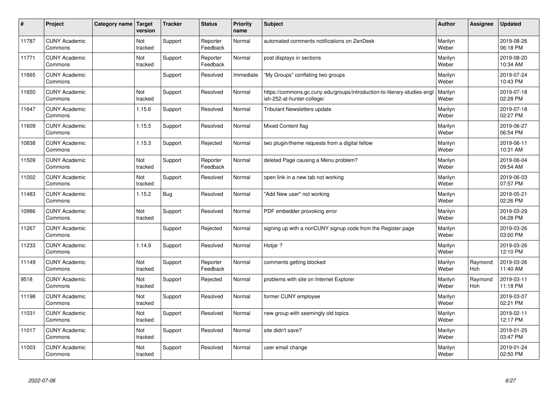| $\vert$ # | Project                         | Category name   Target | version        | <b>Tracker</b> | <b>Status</b>        | <b>Priority</b><br>name | <b>Subject</b>                                                                                         | <b>Author</b>    | Assignee       | <b>Updated</b>         |
|-----------|---------------------------------|------------------------|----------------|----------------|----------------------|-------------------------|--------------------------------------------------------------------------------------------------------|------------------|----------------|------------------------|
| 11787     | <b>CUNY Academic</b><br>Commons |                        | Not<br>tracked | Support        | Reporter<br>Feedback | Normal                  | automated comments notifications on ZenDesk                                                            | Marilyn<br>Weber |                | 2019-08-26<br>06:18 PM |
| 11771     | <b>CUNY Academic</b><br>Commons |                        | Not<br>tracked | Support        | Reporter<br>Feedback | Normal                  | post displays in sections                                                                              | Marilyn<br>Weber |                | 2019-08-20<br>10:34 AM |
| 11665     | <b>CUNY Academic</b><br>Commons |                        |                | Support        | Resolved             | Immediate               | "My Groups" conflating two groups                                                                      | Marilyn<br>Weber |                | 2019-07-24<br>10:43 PM |
| 11650     | <b>CUNY Academic</b><br>Commons |                        | Not<br>tracked | Support        | Resolved             | Normal                  | https://commons.gc.cuny.edu/groups/introduction-to-literary-studies-engl<br>ish-252-at-hunter-college/ | Marilyn<br>Weber |                | 2019-07-18<br>02:28 PM |
| 11647     | <b>CUNY Academic</b><br>Commons |                        | 1.15.6         | Support        | Resolved             | Normal                  | <b>Tribulant Newsletters update</b>                                                                    | Marilyn<br>Weber |                | 2019-07-18<br>02:27 PM |
| 11609     | <b>CUNY Academic</b><br>Commons |                        | 1.15.5         | Support        | Resolved             | Normal                  | Mixed Content flag                                                                                     | Marilyn<br>Weber |                | 2019-06-27<br>06:54 PM |
| 10838     | <b>CUNY Academic</b><br>Commons |                        | 1.15.3         | Support        | Rejected             | Normal                  | two plugin/theme requests from a digital fellow                                                        | Marilyn<br>Weber |                | 2019-06-11<br>10:31 AM |
| 11509     | <b>CUNY Academic</b><br>Commons |                        | Not<br>tracked | Support        | Reporter<br>Feedback | Normal                  | deleted Page causing a Menu problem?                                                                   | Marilyn<br>Weber |                | 2019-06-04<br>09:54 AM |
| 11002     | <b>CUNY Academic</b><br>Commons |                        | Not<br>tracked | Support        | Resolved             | Normal                  | open link in a new tab not working                                                                     | Marilyn<br>Weber |                | 2019-06-03<br>07:57 PM |
| 11483     | <b>CUNY Academic</b><br>Commons |                        | 1.15.2         | <b>Bug</b>     | Resolved             | Normal                  | 'Add New user" not working                                                                             | Marilyn<br>Weber |                | 2019-05-21<br>02:26 PM |
| 10986     | <b>CUNY Academic</b><br>Commons |                        | Not<br>tracked | Support        | Resolved             | Normal                  | PDF embedder provoking error                                                                           | Marilyn<br>Weber |                | 2019-03-29<br>04:28 PM |
| 11267     | <b>CUNY Academic</b><br>Commons |                        |                | Support        | Rejected             | Normal                  | signing up with a nonCUNY signup code from the Register page                                           | Marilyn<br>Weber |                | 2019-03-26<br>03:00 PM |
| 11233     | <b>CUNY Academic</b><br>Commons |                        | 1.14.9         | Support        | Resolved             | Normal                  | Hotjar ?                                                                                               | Marilyn<br>Weber |                | 2019-03-26<br>12:10 PM |
| 11149     | <b>CUNY Academic</b><br>Commons |                        | Not<br>tracked | Support        | Reporter<br>Feedback | Normal                  | comments getting blocked                                                                               | Marilyn<br>Weber | Raymond<br>Hoh | 2019-03-26<br>11:40 AM |
| 9518      | <b>CUNY Academic</b><br>Commons |                        | Not<br>tracked | Support        | Rejected             | Normal                  | problems with site on Internet Explorer                                                                | Marilyn<br>Weber | Raymond<br>Hoh | 2019-03-11<br>11:18 PM |
| 11198     | <b>CUNY Academic</b><br>Commons |                        | Not<br>tracked | Support        | Resolved             | Normal                  | former CUNY employee                                                                                   | Marilyn<br>Weber |                | 2019-03-07<br>02:21 PM |
| 11031     | <b>CUNY Academic</b><br>Commons |                        | Not<br>tracked | Support        | Resolved             | Normal                  | new group with seemingly old topics                                                                    | Marilyn<br>Weber |                | 2019-02-11<br>12:17 PM |
| 11017     | <b>CUNY Academic</b><br>Commons |                        | Not<br>tracked | Support        | Resolved             | Normal                  | site didn't save?                                                                                      | Marilyn<br>Weber |                | 2019-01-25<br>03:47 PM |
| 11003     | <b>CUNY Academic</b><br>Commons |                        | Not<br>tracked | Support        | Resolved             | Normal                  | user email change                                                                                      | Marilyn<br>Weber |                | 2019-01-24<br>02:50 PM |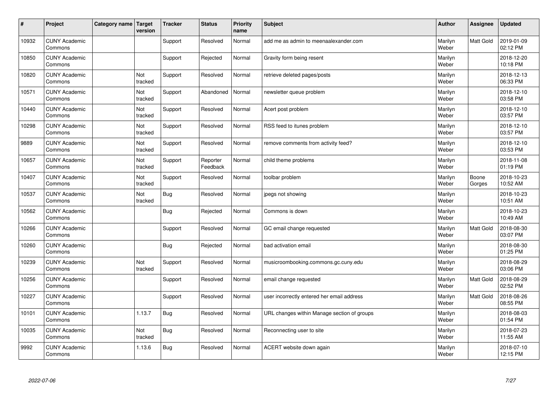| $\vert$ # | Project                         | Category name | Target<br>version | <b>Tracker</b> | <b>Status</b>        | <b>Priority</b><br>name | <b>Subject</b>                              | <b>Author</b>    | Assignee        | <b>Updated</b>         |
|-----------|---------------------------------|---------------|-------------------|----------------|----------------------|-------------------------|---------------------------------------------|------------------|-----------------|------------------------|
| 10932     | <b>CUNY Academic</b><br>Commons |               |                   | Support        | Resolved             | Normal                  | add me as admin to meenaalexander.com       | Marilyn<br>Weber | Matt Gold       | 2019-01-09<br>02:12 PM |
| 10850     | <b>CUNY Academic</b><br>Commons |               |                   | Support        | Rejected             | Normal                  | Gravity form being resent                   | Marilyn<br>Weber |                 | 2018-12-20<br>10:18 PM |
| 10820     | <b>CUNY Academic</b><br>Commons |               | Not<br>tracked    | Support        | Resolved             | Normal                  | retrieve deleted pages/posts                | Marilyn<br>Weber |                 | 2018-12-13<br>06:33 PM |
| 10571     | <b>CUNY Academic</b><br>Commons |               | Not<br>tracked    | Support        | Abandoned            | Normal                  | newsletter queue problem                    | Marilyn<br>Weber |                 | 2018-12-10<br>03:58 PM |
| 10440     | <b>CUNY Academic</b><br>Commons |               | Not<br>tracked    | Support        | Resolved             | Normal                  | Acert post problem                          | Marilyn<br>Weber |                 | 2018-12-10<br>03:57 PM |
| 10298     | <b>CUNY Academic</b><br>Commons |               | Not<br>tracked    | Support        | Resolved             | Normal                  | RSS feed to itunes problem                  | Marilyn<br>Weber |                 | 2018-12-10<br>03:57 PM |
| 9889      | <b>CUNY Academic</b><br>Commons |               | Not<br>tracked    | Support        | Resolved             | Normal                  | remove comments from activity feed?         | Marilyn<br>Weber |                 | 2018-12-10<br>03:53 PM |
| 10657     | <b>CUNY Academic</b><br>Commons |               | Not<br>tracked    | Support        | Reporter<br>Feedback | Normal                  | child theme problems                        | Marilyn<br>Weber |                 | 2018-11-08<br>01:19 PM |
| 10407     | <b>CUNY Academic</b><br>Commons |               | Not<br>tracked    | Support        | Resolved             | Normal                  | toolbar problem                             | Marilyn<br>Weber | Boone<br>Gorges | 2018-10-23<br>10:52 AM |
| 10537     | <b>CUNY Academic</b><br>Commons |               | Not<br>tracked    | <b>Bug</b>     | Resolved             | Normal                  | jpegs not showing                           | Marilyn<br>Weber |                 | 2018-10-23<br>10:51 AM |
| 10562     | <b>CUNY Academic</b><br>Commons |               |                   | <b>Bug</b>     | Rejected             | Normal                  | Commons is down                             | Marilyn<br>Weber |                 | 2018-10-23<br>10:49 AM |
| 10266     | <b>CUNY Academic</b><br>Commons |               |                   | Support        | Resolved             | Normal                  | GC email change requested                   | Marilyn<br>Weber | Matt Gold       | 2018-08-30<br>03:07 PM |
| 10260     | <b>CUNY Academic</b><br>Commons |               |                   | <b>Bug</b>     | Rejected             | Normal                  | bad activation email                        | Marilyn<br>Weber |                 | 2018-08-30<br>01:25 PM |
| 10239     | <b>CUNY Academic</b><br>Commons |               | Not<br>tracked    | Support        | Resolved             | Normal                  | musicroombooking.commons.gc.cuny.edu        | Marilyn<br>Weber |                 | 2018-08-29<br>03:06 PM |
| 10256     | <b>CUNY Academic</b><br>Commons |               |                   | Support        | Resolved             | Normal                  | email change requested                      | Marilyn<br>Weber | Matt Gold       | 2018-08-29<br>02:52 PM |
| 10227     | <b>CUNY Academic</b><br>Commons |               |                   | Support        | Resolved             | Normal                  | user incorrectly entered her email address  | Marilyn<br>Weber | Matt Gold       | 2018-08-26<br>08:55 PM |
| 10101     | <b>CUNY Academic</b><br>Commons |               | 1.13.7            | <b>Bug</b>     | Resolved             | Normal                  | URL changes within Manage section of groups | Marilyn<br>Weber |                 | 2018-08-03<br>01:54 PM |
| 10035     | <b>CUNY Academic</b><br>Commons |               | Not<br>tracked    | Bug            | Resolved             | Normal                  | Reconnecting user to site                   | Marilyn<br>Weber |                 | 2018-07-23<br>11:55 AM |
| 9992      | <b>CUNY Academic</b><br>Commons |               | 1.13.6            | Bug            | Resolved             | Normal                  | ACERT website down again                    | Marilyn<br>Weber |                 | 2018-07-10<br>12:15 PM |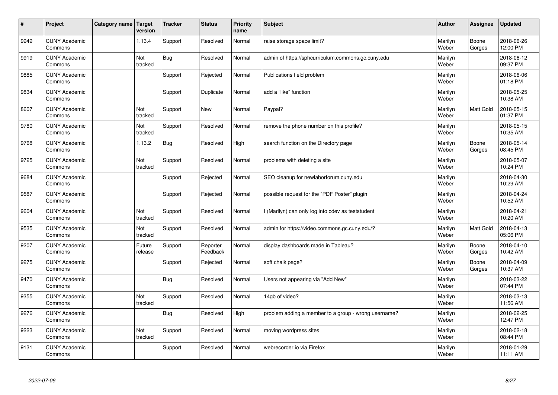| $\vert$ # | Project                         | Category name | Target<br>version | <b>Tracker</b> | <b>Status</b>        | <b>Priority</b><br>name | <b>Subject</b>                                       | <b>Author</b>    | Assignee        | <b>Updated</b>         |
|-----------|---------------------------------|---------------|-------------------|----------------|----------------------|-------------------------|------------------------------------------------------|------------------|-----------------|------------------------|
| 9949      | <b>CUNY Academic</b><br>Commons |               | 1.13.4            | Support        | Resolved             | Normal                  | raise storage space limit?                           | Marilyn<br>Weber | Boone<br>Gorges | 2018-06-26<br>12:00 PM |
| 9919      | <b>CUNY Academic</b><br>Commons |               | Not<br>tracked    | Bug            | Resolved             | Normal                  | admin of https://sphcurriculum.commons.gc.cuny.edu   | Marilyn<br>Weber |                 | 2018-06-12<br>09:37 PM |
| 9885      | <b>CUNY Academic</b><br>Commons |               |                   | Support        | Rejected             | Normal                  | Publications field problem                           | Marilyn<br>Weber |                 | 2018-06-06<br>01:18 PM |
| 9834      | <b>CUNY Academic</b><br>Commons |               |                   | Support        | Duplicate            | Normal                  | add a "like" function                                | Marilyn<br>Weber |                 | 2018-05-25<br>10:38 AM |
| 8607      | <b>CUNY Academic</b><br>Commons |               | Not<br>tracked    | Support        | <b>New</b>           | Normal                  | Paypal?                                              | Marilyn<br>Weber | Matt Gold       | 2018-05-15<br>01:37 PM |
| 9780      | <b>CUNY Academic</b><br>Commons |               | Not<br>tracked    | Support        | Resolved             | Normal                  | remove the phone number on this profile?             | Marilyn<br>Weber |                 | 2018-05-15<br>10:35 AM |
| 9768      | <b>CUNY Academic</b><br>Commons |               | 1.13.2            | Bug            | Resolved             | High                    | search function on the Directory page                | Marilyn<br>Weber | Boone<br>Gorges | 2018-05-14<br>08:45 PM |
| 9725      | <b>CUNY Academic</b><br>Commons |               | Not<br>tracked    | Support        | Resolved             | Normal                  | problems with deleting a site                        | Marilyn<br>Weber |                 | 2018-05-07<br>10:24 PM |
| 9684      | <b>CUNY Academic</b><br>Commons |               |                   | Support        | Rejected             | Normal                  | SEO cleanup for newlaborforum.cuny.edu               | Marilyn<br>Weber |                 | 2018-04-30<br>10:29 AM |
| 9587      | <b>CUNY Academic</b><br>Commons |               |                   | Support        | Rejected             | Normal                  | possible request for the "PDF Poster" plugin         | Marilyn<br>Weber |                 | 2018-04-24<br>10:52 AM |
| 9604      | <b>CUNY Academic</b><br>Commons |               | Not<br>tracked    | Support        | Resolved             | Normal                  | (Marilyn) can only log into cdev as teststudent      | Marilyn<br>Weber |                 | 2018-04-21<br>10:20 AM |
| 9535      | <b>CUNY Academic</b><br>Commons |               | Not<br>tracked    | Support        | Resolved             | Normal                  | admin for https://video.commons.gc.cuny.edu/?        | Marilyn<br>Weber | Matt Gold       | 2018-04-13<br>05:06 PM |
| 9207      | <b>CUNY Academic</b><br>Commons |               | Future<br>release | Support        | Reporter<br>Feedback | Normal                  | display dashboards made in Tableau?                  | Marilyn<br>Weber | Boone<br>Gorges | 2018-04-10<br>10:42 AM |
| 9275      | <b>CUNY Academic</b><br>Commons |               |                   | Support        | Rejected             | Normal                  | soft chalk page?                                     | Marilyn<br>Weber | Boone<br>Gorges | 2018-04-09<br>10:37 AM |
| 9470      | <b>CUNY Academic</b><br>Commons |               |                   | Bug            | Resolved             | Normal                  | Users not appearing via "Add New"                    | Marilyn<br>Weber |                 | 2018-03-22<br>07:44 PM |
| 9355      | <b>CUNY Academic</b><br>Commons |               | Not<br>tracked    | Support        | Resolved             | Normal                  | 14gb of video?                                       | Marilyn<br>Weber |                 | 2018-03-13<br>11:56 AM |
| 9276      | <b>CUNY Academic</b><br>Commons |               |                   | Bug            | Resolved             | High                    | problem adding a member to a group - wrong username? | Marilyn<br>Weber |                 | 2018-02-25<br>12:47 PM |
| 9223      | <b>CUNY Academic</b><br>Commons |               | Not<br>tracked    | Support        | Resolved             | Normal                  | moving wordpress sites                               | Marilyn<br>Weber |                 | 2018-02-18<br>08:44 PM |
| 9131      | <b>CUNY Academic</b><br>Commons |               |                   | Support        | Resolved             | Normal                  | webrecorder.io via Firefox                           | Marilyn<br>Weber |                 | 2018-01-29<br>11:11 AM |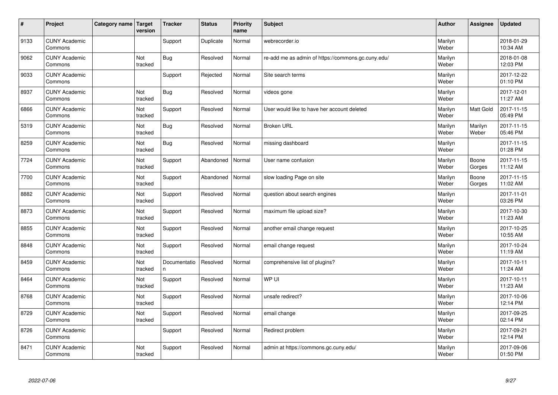| $\sharp$ | Project                         | Category name   Target | version        | <b>Tracker</b>     | <b>Status</b> | <b>Priority</b><br>name | <b>Subject</b>                                     | <b>Author</b>    | <b>Assignee</b>  | <b>Updated</b>         |
|----------|---------------------------------|------------------------|----------------|--------------------|---------------|-------------------------|----------------------------------------------------|------------------|------------------|------------------------|
| 9133     | <b>CUNY Academic</b><br>Commons |                        |                | Support            | Duplicate     | Normal                  | webrecorder.io                                     | Marilyn<br>Weber |                  | 2018-01-29<br>10:34 AM |
| 9062     | <b>CUNY Academic</b><br>Commons |                        | Not<br>tracked | Bug                | Resolved      | Normal                  | re-add me as admin of https://commons.gc.cuny.edu/ | Marilyn<br>Weber |                  | 2018-01-08<br>12:03 PM |
| 9033     | <b>CUNY Academic</b><br>Commons |                        |                | Support            | Rejected      | Normal                  | Site search terms                                  | Marilyn<br>Weber |                  | 2017-12-22<br>01:10 PM |
| 8937     | <b>CUNY Academic</b><br>Commons |                        | Not<br>tracked | Bug                | Resolved      | Normal                  | videos gone                                        | Marilyn<br>Weber |                  | 2017-12-01<br>11:27 AM |
| 6866     | <b>CUNY Academic</b><br>Commons |                        | Not<br>tracked | Support            | Resolved      | Normal                  | User would like to have her account deleted        | Marilyn<br>Weber | <b>Matt Gold</b> | 2017-11-15<br>05:49 PM |
| 5319     | <b>CUNY Academic</b><br>Commons |                        | Not<br>tracked | Bug                | Resolved      | Normal                  | <b>Broken URL</b>                                  | Marilyn<br>Weber | Marilyn<br>Weber | 2017-11-15<br>05:46 PM |
| 8259     | <b>CUNY Academic</b><br>Commons |                        | Not<br>tracked | Bug                | Resolved      | Normal                  | missing dashboard                                  | Marilyn<br>Weber |                  | 2017-11-15<br>01:28 PM |
| 7724     | <b>CUNY Academic</b><br>Commons |                        | Not<br>tracked | Support            | Abandoned     | Normal                  | User name confusion                                | Marilyn<br>Weber | Boone<br>Gorges  | 2017-11-15<br>11:12 AM |
| 7700     | <b>CUNY Academic</b><br>Commons |                        | Not<br>tracked | Support            | Abandoned     | Normal                  | slow loading Page on site                          | Marilyn<br>Weber | Boone<br>Gorges  | 2017-11-15<br>11:02 AM |
| 8882     | <b>CUNY Academic</b><br>Commons |                        | Not<br>tracked | Support            | Resolved      | Normal                  | question about search engines                      | Marilyn<br>Weber |                  | 2017-11-01<br>03:26 PM |
| 8873     | <b>CUNY Academic</b><br>Commons |                        | Not<br>tracked | Support            | Resolved      | Normal                  | maximum file upload size?                          | Marilyn<br>Weber |                  | 2017-10-30<br>11:23 AM |
| 8855     | <b>CUNY Academic</b><br>Commons |                        | Not<br>tracked | Support            | Resolved      | Normal                  | another email change request                       | Marilyn<br>Weber |                  | 2017-10-25<br>10:55 AM |
| 8848     | <b>CUNY Academic</b><br>Commons |                        | Not<br>tracked | Support            | Resolved      | Normal                  | email change request                               | Marilyn<br>Weber |                  | 2017-10-24<br>11:19 AM |
| 8459     | <b>CUNY Academic</b><br>Commons |                        | Not<br>tracked | Documentatio<br>n. | Resolved      | Normal                  | comprehensive list of plugins?                     | Marilyn<br>Weber |                  | 2017-10-11<br>11:24 AM |
| 8464     | <b>CUNY Academic</b><br>Commons |                        | Not<br>tracked | Support            | Resolved      | Normal                  | WP UI                                              | Marilyn<br>Weber |                  | 2017-10-11<br>11:23 AM |
| 8768     | <b>CUNY Academic</b><br>Commons |                        | Not<br>tracked | Support            | Resolved      | Normal                  | unsafe redirect?                                   | Marilyn<br>Weber |                  | 2017-10-06<br>12:14 PM |
| 8729     | <b>CUNY Academic</b><br>Commons |                        | Not<br>tracked | Support            | Resolved      | Normal                  | email change                                       | Marilyn<br>Weber |                  | 2017-09-25<br>02:14 PM |
| 8726     | <b>CUNY Academic</b><br>Commons |                        |                | Support            | Resolved      | Normal                  | Redirect problem                                   | Marilyn<br>Weber |                  | 2017-09-21<br>12:14 PM |
| 8471     | <b>CUNY Academic</b><br>Commons |                        | Not<br>tracked | Support            | Resolved      | Normal                  | admin at https://commons.gc.cuny.edu/              | Marilyn<br>Weber |                  | 2017-09-06<br>01:50 PM |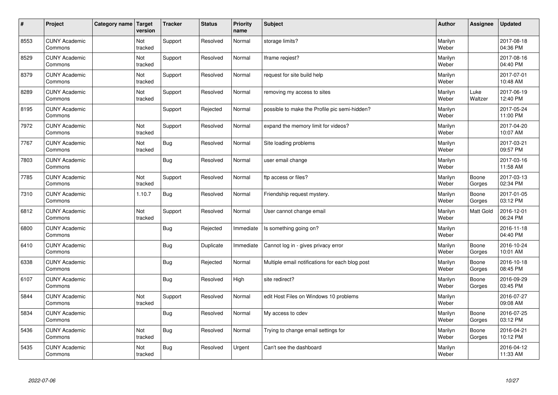| $\vert$ # | Project                         | Category name   Target | version        | <b>Tracker</b> | <b>Status</b> | <b>Priority</b><br>name | <b>Subject</b>                                  | <b>Author</b>    | Assignee        | <b>Updated</b>         |
|-----------|---------------------------------|------------------------|----------------|----------------|---------------|-------------------------|-------------------------------------------------|------------------|-----------------|------------------------|
| 8553      | <b>CUNY Academic</b><br>Commons |                        | Not<br>tracked | Support        | Resolved      | Normal                  | storage limits?                                 | Marilyn<br>Weber |                 | 2017-08-18<br>04:36 PM |
| 8529      | <b>CUNY Academic</b><br>Commons |                        | Not<br>tracked | Support        | Resolved      | Normal                  | Iframe regiest?                                 | Marilyn<br>Weber |                 | 2017-08-16<br>04:40 PM |
| 8379      | <b>CUNY Academic</b><br>Commons |                        | Not<br>tracked | Support        | Resolved      | Normal                  | request for site build help                     | Marilyn<br>Weber |                 | 2017-07-01<br>10:48 AM |
| 8289      | <b>CUNY Academic</b><br>Commons |                        | Not<br>tracked | Support        | Resolved      | Normal                  | removing my access to sites                     | Marilyn<br>Weber | Luke<br>Waltzer | 2017-06-19<br>12:40 PM |
| 8195      | <b>CUNY Academic</b><br>Commons |                        |                | Support        | Rejected      | Normal                  | possible to make the Profile pic semi-hidden?   | Marilyn<br>Weber |                 | 2017-05-24<br>11:00 PM |
| 7972      | <b>CUNY Academic</b><br>Commons |                        | Not<br>tracked | Support        | Resolved      | Normal                  | expand the memory limit for videos?             | Marilyn<br>Weber |                 | 2017-04-20<br>10:07 AM |
| 7767      | <b>CUNY Academic</b><br>Commons |                        | Not<br>tracked | Bug            | Resolved      | Normal                  | Site loading problems                           | Marilyn<br>Weber |                 | 2017-03-21<br>09:57 PM |
| 7803      | <b>CUNY Academic</b><br>Commons |                        |                | Bug            | Resolved      | Normal                  | user email change                               | Marilyn<br>Weber |                 | 2017-03-16<br>11:58 AM |
| 7785      | <b>CUNY Academic</b><br>Commons |                        | Not<br>tracked | Support        | Resolved      | Normal                  | ftp access or files?                            | Marilyn<br>Weber | Boone<br>Gorges | 2017-03-13<br>02:34 PM |
| 7310      | <b>CUNY Academic</b><br>Commons |                        | 1.10.7         | Bug            | Resolved      | Normal                  | Friendship request mystery.                     | Marilyn<br>Weber | Boone<br>Gorges | 2017-01-05<br>03:12 PM |
| 6812      | <b>CUNY Academic</b><br>Commons |                        | Not<br>tracked | Support        | Resolved      | Normal                  | User cannot change email                        | Marilyn<br>Weber | Matt Gold       | 2016-12-01<br>06:24 PM |
| 6800      | <b>CUNY Academic</b><br>Commons |                        |                | Bug            | Rejected      | Immediate               | Is something going on?                          | Marilyn<br>Weber |                 | 2016-11-18<br>04:40 PM |
| 6410      | <b>CUNY Academic</b><br>Commons |                        |                | Bug            | Duplicate     | Immediate               | Cannot log in - gives privacy error             | Marilyn<br>Weber | Boone<br>Gorges | 2016-10-24<br>10:01 AM |
| 6338      | <b>CUNY Academic</b><br>Commons |                        |                | Bug            | Rejected      | Normal                  | Multiple email notifications for each blog post | Marilyn<br>Weber | Boone<br>Gorges | 2016-10-18<br>08:45 PM |
| 6107      | <b>CUNY Academic</b><br>Commons |                        |                | Bug            | Resolved      | High                    | site redirect?                                  | Marilyn<br>Weber | Boone<br>Gorges | 2016-09-29<br>03:45 PM |
| 5844      | <b>CUNY Academic</b><br>Commons |                        | Not<br>tracked | Support        | Resolved      | Normal                  | edit Host Files on Windows 10 problems          | Marilyn<br>Weber |                 | 2016-07-27<br>09:08 AM |
| 5834      | <b>CUNY Academic</b><br>Commons |                        |                | Bug            | Resolved      | Normal                  | My access to cdev                               | Marilyn<br>Weber | Boone<br>Gorges | 2016-07-25<br>03:12 PM |
| 5436      | <b>CUNY Academic</b><br>Commons |                        | Not<br>tracked | <b>Bug</b>     | Resolved      | Normal                  | Trying to change email settings for             | Marilyn<br>Weber | Boone<br>Gorges | 2016-04-21<br>10:12 PM |
| 5435      | <b>CUNY Academic</b><br>Commons |                        | Not<br>tracked | Bug            | Resolved      | Urgent                  | Can't see the dashboard                         | Marilyn<br>Weber |                 | 2016-04-12<br>11:33 AM |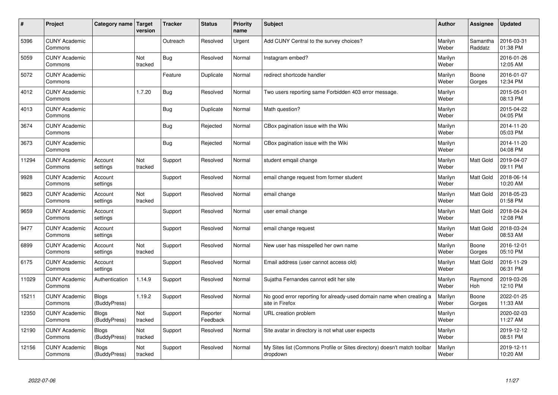| $\sharp$ | Project                         | Category name   Target       | version        | <b>Tracker</b> | <b>Status</b>        | <b>Priority</b><br>name | <b>Subject</b>                                                                          | <b>Author</b>    | Assignee            | Updated                |
|----------|---------------------------------|------------------------------|----------------|----------------|----------------------|-------------------------|-----------------------------------------------------------------------------------------|------------------|---------------------|------------------------|
| 5396     | <b>CUNY Academic</b><br>Commons |                              |                | Outreach       | Resolved             | Urgent                  | Add CUNY Central to the survey choices?                                                 | Marilyn<br>Weber | Samantha<br>Raddatz | 2016-03-31<br>01:38 PM |
| 5059     | <b>CUNY Academic</b><br>Commons |                              | Not<br>tracked | Bug            | Resolved             | Normal                  | Instagram embed?                                                                        | Marilyn<br>Weber |                     | 2016-01-26<br>12:05 AM |
| 5072     | <b>CUNY Academic</b><br>Commons |                              |                | Feature        | Duplicate            | Normal                  | redirect shortcode handler                                                              | Marilyn<br>Weber | Boone<br>Gorges     | 2016-01-07<br>12:34 PM |
| 4012     | <b>CUNY Academic</b><br>Commons |                              | 1.7.20         | Bug            | Resolved             | Normal                  | Two users reporting same Forbidden 403 error message.                                   | Marilyn<br>Weber |                     | 2015-05-01<br>08:13 PM |
| 4013     | <b>CUNY Academic</b><br>Commons |                              |                | Bug            | Duplicate            | Normal                  | Math question?                                                                          | Marilyn<br>Weber |                     | 2015-04-22<br>04:05 PM |
| 3674     | <b>CUNY Academic</b><br>Commons |                              |                | Bug            | Rejected             | Normal                  | CBox pagination issue with the Wiki                                                     | Marilyn<br>Weber |                     | 2014-11-20<br>05:03 PM |
| 3673     | <b>CUNY Academic</b><br>Commons |                              |                | Bug            | Rejected             | Normal                  | CBox pagination issue with the Wiki                                                     | Marilyn<br>Weber |                     | 2014-11-20<br>04:08 PM |
| 11294    | <b>CUNY Academic</b><br>Commons | Account<br>settings          | Not<br>tracked | Support        | Resolved             | Normal                  | student emgail change                                                                   | Marilyn<br>Weber | Matt Gold           | 2019-04-07<br>09:11 PM |
| 9928     | <b>CUNY Academic</b><br>Commons | Account<br>settings          |                | Support        | Resolved             | Normal                  | email change request from former student                                                | Marilyn<br>Weber | <b>Matt Gold</b>    | 2018-06-14<br>10:20 AM |
| 9823     | <b>CUNY Academic</b><br>Commons | Account<br>settings          | Not<br>tracked | Support        | Resolved             | Normal                  | email change                                                                            | Marilyn<br>Weber | <b>Matt Gold</b>    | 2018-05-23<br>01:58 PM |
| 9659     | <b>CUNY Academic</b><br>Commons | Account<br>settings          |                | Support        | Resolved             | Normal                  | user email change                                                                       | Marilyn<br>Weber | <b>Matt Gold</b>    | 2018-04-24<br>12:08 PM |
| 9477     | <b>CUNY Academic</b><br>Commons | Account<br>settings          |                | Support        | Resolved             | Normal                  | email change request                                                                    | Marilyn<br>Weber | <b>Matt Gold</b>    | 2018-03-24<br>08:53 AM |
| 6899     | <b>CUNY Academic</b><br>Commons | Account<br>settings          | Not<br>tracked | Support        | Resolved             | Normal                  | New user has misspelled her own name                                                    | Marilyn<br>Weber | Boone<br>Gorges     | 2016-12-01<br>05:10 PM |
| 6175     | <b>CUNY Academic</b><br>Commons | Account<br>settings          |                | Support        | Resolved             | Normal                  | Email address (user cannot access old)                                                  | Marilyn<br>Weber | <b>Matt Gold</b>    | 2016-11-29<br>06:31 PM |
| 11029    | <b>CUNY Academic</b><br>Commons | Authentication               | 1.14.9         | Support        | Resolved             | Normal                  | Sujatha Fernandes cannot edit her site                                                  | Marilyn<br>Weber | Raymond<br>Hoh      | 2019-03-26<br>12:10 PM |
| 15211    | <b>CUNY Academic</b><br>Commons | <b>Blogs</b><br>(BuddyPress) | 1.19.2         | Support        | Resolved             | Normal                  | No good error reporting for already-used domain name when creating a<br>site in Firefox | Marilyn<br>Weber | Boone<br>Gorges     | 2022-01-25<br>11:33 AM |
| 12350    | <b>CUNY Academic</b><br>Commons | Blogs<br>(BuddyPress)        | Not<br>tracked | Support        | Reporter<br>Feedback | Normal                  | URL creation problem                                                                    | Marilyn<br>Weber |                     | 2020-02-03<br>11:27 AM |
| 12190    | <b>CUNY Academic</b><br>Commons | <b>Blogs</b><br>(BuddyPress) | Not<br>tracked | Support        | Resolved             | Normal                  | Site avatar in directory is not what user expects                                       | Marilyn<br>Weber |                     | 2019-12-12<br>08:51 PM |
| 12156    | <b>CUNY Academic</b><br>Commons | <b>Blogs</b><br>(BuddyPress) | Not<br>tracked | Support        | Resolved             | Normal                  | My Sites list (Commons Profile or Sites directory) doesn't match toolbar<br>dropdown    | Marilyn<br>Weber |                     | 2019-12-11<br>10:20 AM |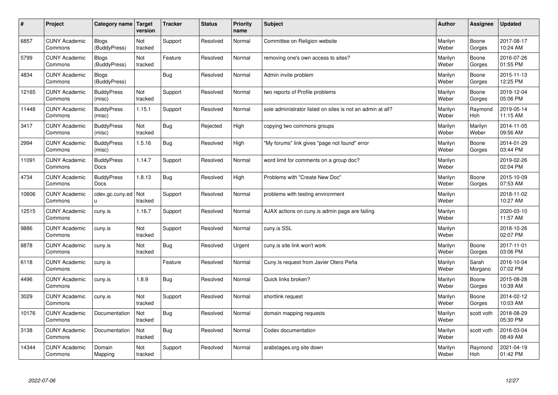| $\sharp$ | Project                         | Category name   Target       | version        | <b>Tracker</b> | <b>Status</b> | <b>Priority</b><br>name | <b>Subject</b>                                             | <b>Author</b>    | Assignee         | <b>Updated</b>         |
|----------|---------------------------------|------------------------------|----------------|----------------|---------------|-------------------------|------------------------------------------------------------|------------------|------------------|------------------------|
| 6857     | <b>CUNY Academic</b><br>Commons | <b>Blogs</b><br>(BuddyPress) | Not<br>tracked | Support        | Resolved      | Normal                  | Committee on Religion website                              | Marilyn<br>Weber | Boone<br>Gorges  | 2017-08-17<br>10:24 AM |
| 5799     | <b>CUNY Academic</b><br>Commons | Blogs<br>(BuddyPress)        | Not<br>tracked | Feature        | Resolved      | Normal                  | removing one's own access to sites?                        | Marilyn<br>Weber | Boone<br>Gorges  | 2016-07-26<br>01:55 PM |
| 4834     | <b>CUNY Academic</b><br>Commons | Blogs<br>(BuddyPress)        |                | Bug            | Resolved      | Normal                  | Admin invite problem                                       | Marilyn<br>Weber | Boone<br>Gorges  | 2015-11-13<br>12:25 PM |
| 12165    | <b>CUNY Academic</b><br>Commons | <b>BuddyPress</b><br>(misc)  | Not<br>tracked | Support        | Resolved      | Normal                  | two reports of Profile problems                            | Marilyn<br>Weber | Boone<br>Gorges  | 2019-12-04<br>05:06 PM |
| 11448    | <b>CUNY Academic</b><br>Commons | <b>BuddyPress</b><br>(misc)  | 1.15.1         | Support        | Resolved      | Normal                  | sole administrator listed on sites is not an admin at all? | Marilyn<br>Weber | Raymond<br>Hoh   | 2019-05-14<br>11:15 AM |
| 3417     | <b>CUNY Academic</b><br>Commons | <b>BuddyPress</b><br>(misc)  | Not<br>tracked | Bug            | Rejected      | High                    | copying two commons groups                                 | Marilyn<br>Weber | Marilyn<br>Weber | 2014-11-05<br>09:56 AM |
| 2994     | <b>CUNY Academic</b><br>Commons | <b>BuddyPress</b><br>(misc)  | 1.5.16         | Bug            | Resolved      | High                    | "My forums" link gives "page not found" error              | Marilyn<br>Weber | Boone<br>Gorges  | 2014-01-29<br>03:44 PM |
| 11091    | <b>CUNY Academic</b><br>Commons | <b>BuddyPress</b><br>Docs    | 1.14.7         | Support        | Resolved      | Normal                  | word limit for comments on a group doc?                    | Marilyn<br>Weber |                  | 2019-02-26<br>02:04 PM |
| 4734     | <b>CUNY Academic</b><br>Commons | <b>BuddyPress</b><br>Docs    | 1.8.13         | Bug            | Resolved      | High                    | Problems with "Create New Doc"                             | Marilyn<br>Weber | Boone<br>Gorges  | 2015-10-09<br>07:53 AM |
| 10606    | <b>CUNY Academic</b><br>Commons | cdev.gc.cuny.ed<br>u.        | Not<br>tracked | Support        | Resolved      | Normal                  | problems with testing environment                          | Marilyn<br>Weber |                  | 2018-11-02<br>10:27 AM |
| 12515    | <b>CUNY Academic</b><br>Commons | cuny.is                      | 1.16.7         | Support        | Resolved      | Normal                  | AJAX actions on cuny is admin page are failing             | Marilyn<br>Weber |                  | 2020-03-10<br>11:57 AM |
| 9886     | <b>CUNY Academic</b><br>Commons | cuny.is                      | Not<br>tracked | Support        | Resolved      | Normal                  | cuny.is SSL                                                | Marilyn<br>Weber |                  | 2018-10-26<br>02:07 PM |
| 8878     | <b>CUNY Academic</b><br>Commons | cuny.is                      | Not<br>tracked | Bug            | Resolved      | Urgent                  | cuny is site link won't work                               | Marilyn<br>Weber | Boone<br>Gorges  | 2017-11-01<br>03:06 PM |
| 6118     | <b>CUNY Academic</b><br>Commons | cuny.is                      |                | Feature        | Resolved      | Normal                  | Cuny. Is request from Javier Otero Peña                    | Marilyn<br>Weber | Sarah<br>Morgano | 2016-10-04<br>07:02 PM |
| 4496     | <b>CUNY Academic</b><br>Commons | cuny.is                      | 1.8.9          | <b>Bug</b>     | Resolved      | Normal                  | Quick links broken?                                        | Marilyn<br>Weber | Boone<br>Gorges  | 2015-08-28<br>10:39 AM |
| 3029     | <b>CUNY Academic</b><br>Commons | cuny.is                      | Not<br>tracked | Support        | Resolved      | Normal                  | shortlink request                                          | Marilyn<br>Weber | Boone<br>Gorges  | 2014-02-12<br>10:03 AM |
| 10176    | <b>CUNY Academic</b><br>Commons | Documentation                | Not<br>tracked | Bug            | Resolved      | Normal                  | domain mapping requests                                    | Marilyn<br>Weber | scott voth       | 2018-08-29<br>05:30 PM |
| 3138     | <b>CUNY Academic</b><br>Commons | Documentation                | Not<br>tracked | Bug            | Resolved      | Normal                  | Codex documentation                                        | Marilyn<br>Weber | scott voth       | 2016-03-04<br>08:49 AM |
| 14344    | <b>CUNY Academic</b><br>Commons | Domain<br>Mapping            | Not<br>tracked | Support        | Resolved      | Normal                  | arabstages.org site down                                   | Marilyn<br>Weber | Raymond<br>Hoh   | 2021-04-19<br>01:42 PM |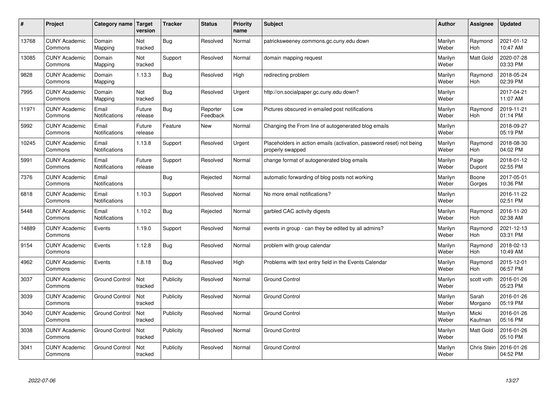| $\pmb{\#}$ | Project                         | Category name                 | Target<br>version     | <b>Tracker</b> | <b>Status</b>        | <b>Priority</b><br>name | <b>Subject</b>                                                                           | <b>Author</b>    | Assignee              | Updated                |
|------------|---------------------------------|-------------------------------|-----------------------|----------------|----------------------|-------------------------|------------------------------------------------------------------------------------------|------------------|-----------------------|------------------------|
| 13768      | <b>CUNY Academic</b><br>Commons | Domain<br>Mapping             | Not<br>tracked        | Bug            | Resolved             | Normal                  | patricksweeney.commons.gc.cuny.edu down                                                  | Marilyn<br>Weber | Raymond<br><b>Hoh</b> | 2021-01-12<br>10:47 AM |
| 13085      | <b>CUNY Academic</b><br>Commons | Domain<br>Mapping             | Not<br>tracked        | Support        | Resolved             | Normal                  | domain mapping request                                                                   | Marilyn<br>Weber | Matt Gold             | 2020-07-28<br>03:33 PM |
| 9828       | <b>CUNY Academic</b><br>Commons | Domain<br>Mapping             | 1.13.3                | <b>Bug</b>     | Resolved             | High                    | redirecting problem                                                                      | Marilyn<br>Weber | Raymond<br><b>Hoh</b> | 2018-05-24<br>02:39 PM |
| 7995       | <b>CUNY Academic</b><br>Commons | Domain<br>Mapping             | <b>Not</b><br>tracked | <b>Bug</b>     | Resolved             | Urgent                  | http://on.socialpaper.gc.cuny.edu down?                                                  | Marilyn<br>Weber |                       | 2017-04-21<br>11:07 AM |
| 11971      | <b>CUNY Academic</b><br>Commons | Email<br>Notifications        | Future<br>release     | <b>Bug</b>     | Reporter<br>Feedback | Low                     | Pictures obscured in emailed post notifications                                          | Marilyn<br>Weber | Raymond<br>Hoh        | 2019-11-21<br>01:14 PM |
| 5992       | <b>CUNY Academic</b><br>Commons | Email<br>Notifications        | Future<br>release     | Feature        | <b>New</b>           | Normal                  | Changing the From line of autogenerated blog emails                                      | Marilyn<br>Weber |                       | 2018-09-27<br>05:19 PM |
| 10245      | <b>CUNY Academic</b><br>Commons | Email<br><b>Notifications</b> | 1.13.8                | Support        | Resolved             | Urgent                  | Placeholders in action emails (activation, password reset) not being<br>properly swapped | Marilyn<br>Weber | Raymond<br>Hoh        | 2018-08-30<br>04:02 PM |
| 5991       | <b>CUNY Academic</b><br>Commons | Email<br>Notifications        | Future<br>release     | Support        | Resolved             | Normal                  | change format of autogenerated blog emails                                               | Marilyn<br>Weber | Paige<br>Dupont       | 2018-01-12<br>02:55 PM |
| 7376       | <b>CUNY Academic</b><br>Commons | Email<br>Notifications        |                       | Bug            | Rejected             | Normal                  | automatic forwarding of blog posts not working                                           | Marilyn<br>Weber | Boone<br>Gorges       | 2017-05-01<br>10:36 PM |
| 6818       | <b>CUNY Academic</b><br>Commons | Email<br><b>Notifications</b> | 1.10.3                | Support        | Resolved             | Normal                  | No more email notifications?                                                             | Marilyn<br>Weber |                       | 2016-11-22<br>02:51 PM |
| 5448       | <b>CUNY Academic</b><br>Commons | Email<br>Notifications        | 1.10.2                | <b>Bug</b>     | Rejected             | Normal                  | garbled CAC activity digests                                                             | Marilyn<br>Weber | Raymond<br>Hoh        | 2016-11-20<br>02:38 AM |
| 14889      | <b>CUNY Academic</b><br>Commons | Events                        | 1.19.0                | Support        | Resolved             | Normal                  | events in group - can they be edited by all admins?                                      | Marilyn<br>Weber | Raymond<br>Hoh        | 2021-12-13<br>03:31 PM |
| 9154       | <b>CUNY Academic</b><br>Commons | Events                        | 1.12.8                | Bug            | Resolved             | Normal                  | problem with group calendar                                                              | Marilyn<br>Weber | Raymond<br>Hoh        | 2018-02-13<br>10:49 AM |
| 4962       | <b>CUNY Academic</b><br>Commons | Events                        | 1.8.18                | Bug            | Resolved             | High                    | Problems with text entry field in the Events Calendar                                    | Marilyn<br>Weber | Raymond<br><b>Hoh</b> | 2015-12-01<br>06:57 PM |
| 3037       | <b>CUNY Academic</b><br>Commons | <b>Ground Control</b>         | Not<br>tracked        | Publicity      | Resolved             | Normal                  | <b>Ground Control</b>                                                                    | Marilyn<br>Weber | scott voth            | 2016-01-26<br>05:23 PM |
| 3039       | <b>CUNY Academic</b><br>Commons | <b>Ground Control</b>         | Not<br>tracked        | Publicity      | Resolved             | Normal                  | <b>Ground Control</b>                                                                    | Marilyn<br>Weber | Sarah<br>Morgano      | 2016-01-26<br>05:19 PM |
| 3040       | <b>CUNY Academic</b><br>Commons | <b>Ground Control</b>         | Not<br>tracked        | Publicity      | Resolved             | Normal                  | <b>Ground Control</b>                                                                    | Marilyn<br>Weber | Micki<br>Kaufman      | 2016-01-26<br>05:16 PM |
| 3038       | <b>CUNY Academic</b><br>Commons | <b>Ground Control</b>         | Not<br>tracked        | Publicity      | Resolved             | Normal                  | <b>Ground Control</b>                                                                    | Marilyn<br>Weber | Matt Gold             | 2016-01-26<br>05:10 PM |
| 3041       | <b>CUNY Academic</b><br>Commons | <b>Ground Control</b>         | Not<br>tracked        | Publicity      | Resolved             | Normal                  | <b>Ground Control</b>                                                                    | Marilyn<br>Weber | Chris Stein           | 2016-01-26<br>04:52 PM |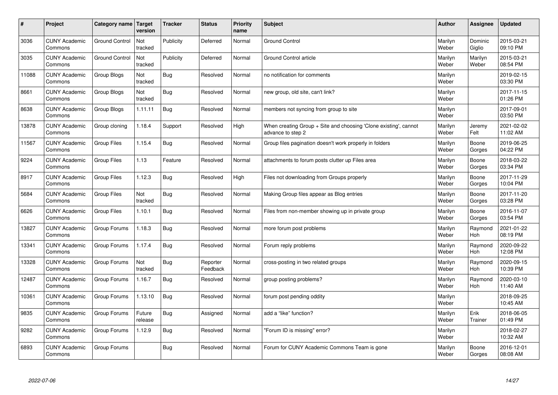| #     | Project                         | Category name   Target | version           | <b>Tracker</b> | <b>Status</b>        | <b>Priority</b><br>name | <b>Subject</b>                                                                        | <b>Author</b>    | <b>Assignee</b>       | <b>Updated</b>         |
|-------|---------------------------------|------------------------|-------------------|----------------|----------------------|-------------------------|---------------------------------------------------------------------------------------|------------------|-----------------------|------------------------|
| 3036  | <b>CUNY Academic</b><br>Commons | <b>Ground Control</b>  | Not<br>tracked    | Publicity      | Deferred             | Normal                  | <b>Ground Control</b>                                                                 | Marilyn<br>Weber | Dominic<br>Giglio     | 2015-03-21<br>09:10 PM |
| 3035  | <b>CUNY Academic</b><br>Commons | <b>Ground Control</b>  | Not<br>tracked    | Publicity      | Deferred             | Normal                  | Ground Control article                                                                | Marilyn<br>Weber | Marilyn<br>Weber      | 2015-03-21<br>08:54 PM |
| 11088 | <b>CUNY Academic</b><br>Commons | Group Blogs            | Not<br>tracked    | Bug            | Resolved             | Normal                  | no notification for comments                                                          | Marilyn<br>Weber |                       | 2019-02-15<br>03:30 PM |
| 8661  | <b>CUNY Academic</b><br>Commons | Group Blogs            | Not<br>tracked    | Bug            | Resolved             | Normal                  | new group, old site, can't link?                                                      | Marilyn<br>Weber |                       | 2017-11-15<br>01:26 PM |
| 8638  | <b>CUNY Academic</b><br>Commons | Group Blogs            | 1.11.11           | Bug            | Resolved             | Normal                  | members not syncing from group to site                                                | Marilyn<br>Weber |                       | 2017-09-01<br>03:50 PM |
| 13878 | <b>CUNY Academic</b><br>Commons | Group cloning          | 1.18.4            | Support        | Resolved             | High                    | When creating Group + Site and choosing 'Clone existing', cannot<br>advance to step 2 | Marilyn<br>Weber | Jeremy<br>Felt        | 2021-02-02<br>11:02 AM |
| 11567 | <b>CUNY Academic</b><br>Commons | Group Files            | 1.15.4            | <b>Bug</b>     | Resolved             | Normal                  | Group files pagination doesn't work properly in folders                               | Marilyn<br>Weber | Boone<br>Gorges       | 2019-06-25<br>04:22 PM |
| 9224  | <b>CUNY Academic</b><br>Commons | <b>Group Files</b>     | 1.13              | Feature        | Resolved             | Normal                  | attachments to forum posts clutter up Files area                                      | Marilyn<br>Weber | Boone<br>Gorges       | 2018-03-22<br>03:34 PM |
| 8917  | <b>CUNY Academic</b><br>Commons | Group Files            | 1.12.3            | Bug            | Resolved             | High                    | Files not downloading from Groups properly                                            | Marilyn<br>Weber | Boone<br>Gorges       | 2017-11-29<br>10:04 PM |
| 5684  | <b>CUNY Academic</b><br>Commons | Group Files            | Not<br>tracked    | Bug            | Resolved             | Normal                  | Making Group files appear as Blog entries                                             | Marilyn<br>Weber | Boone<br>Gorges       | 2017-11-20<br>03:28 PM |
| 6626  | <b>CUNY Academic</b><br>Commons | <b>Group Files</b>     | 1.10.1            | <b>Bug</b>     | Resolved             | Normal                  | Files from non-member showing up in private group                                     | Marilyn<br>Weber | Boone<br>Gorges       | 2016-11-07<br>03:54 PM |
| 13827 | <b>CUNY Academic</b><br>Commons | Group Forums           | 1.18.3            | Bug            | Resolved             | Normal                  | more forum post problems                                                              | Marilyn<br>Weber | Raymond<br>Hoh        | 2021-01-22<br>08:19 PM |
| 13341 | <b>CUNY Academic</b><br>Commons | Group Forums           | 1.17.4            | Bug            | Resolved             | Normal                  | Forum reply problems                                                                  | Marilyn<br>Weber | Raymond<br>Hoh        | 2020-09-22<br>12:08 PM |
| 13328 | <b>CUNY Academic</b><br>Commons | Group Forums           | Not<br>tracked    | Bug            | Reporter<br>Feedback | Normal                  | cross-posting in two related groups                                                   | Marilyn<br>Weber | Raymond<br><b>Hoh</b> | 2020-09-15<br>10:39 PM |
| 12487 | <b>CUNY Academic</b><br>Commons | Group Forums           | 1.16.7            | Bug            | Resolved             | Normal                  | group posting problems?                                                               | Marilyn<br>Weber | Raymond<br><b>Hoh</b> | 2020-03-10<br>11:40 AM |
| 10361 | <b>CUNY Academic</b><br>Commons | Group Forums           | 1.13.10           | Bug            | Resolved             | Normal                  | forum post pending oddity                                                             | Marilyn<br>Weber |                       | 2018-09-25<br>10:45 AM |
| 9835  | <b>CUNY Academic</b><br>Commons | Group Forums           | Future<br>release | Bug            | Assigned             | Normal                  | add a "like" function?                                                                | Marilyn<br>Weber | Erik<br>Trainer       | 2018-06-05<br>01:49 PM |
| 9282  | <b>CUNY Academic</b><br>Commons | Group Forums           | 1.12.9            | <b>Bug</b>     | Resolved             | Normal                  | 'Forum ID is missing" error?                                                          | Marilyn<br>Weber |                       | 2018-02-27<br>10:32 AM |
| 6893  | <b>CUNY Academic</b><br>Commons | Group Forums           |                   | <b>Bug</b>     | Resolved             | Normal                  | Forum for CUNY Academic Commons Team is gone                                          | Marilyn<br>Weber | Boone<br>Gorges       | 2016-12-01<br>08:08 AM |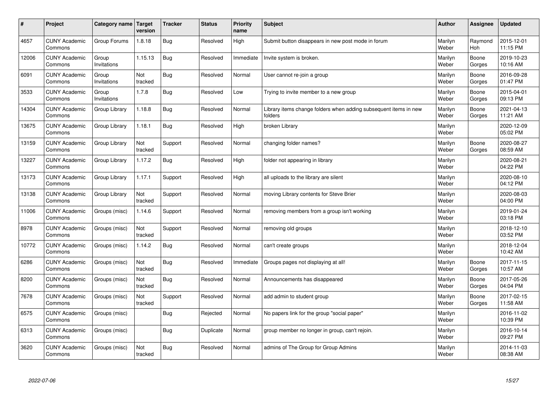| #     | Project                         | Category name   Target | version        | <b>Tracker</b> | <b>Status</b> | Priority<br>name | <b>Subject</b>                                                              | <b>Author</b>    | <b>Assignee</b>       | <b>Updated</b>         |
|-------|---------------------------------|------------------------|----------------|----------------|---------------|------------------|-----------------------------------------------------------------------------|------------------|-----------------------|------------------------|
| 4657  | <b>CUNY Academic</b><br>Commons | Group Forums           | 1.8.18         | Bug            | Resolved      | High             | Submit button disappears in new post mode in forum                          | Marilyn<br>Weber | Raymond<br><b>Hoh</b> | 2015-12-01<br>11:15 PM |
| 12006 | <b>CUNY Academic</b><br>Commons | Group<br>Invitations   | 1.15.13        | Bug            | Resolved      | Immediate        | Invite system is broken.                                                    | Marilyn<br>Weber | Boone<br>Gorges       | 2019-10-23<br>10:16 AM |
| 6091  | <b>CUNY Academic</b><br>Commons | Group<br>Invitations   | Not<br>tracked | Bug            | Resolved      | Normal           | User cannot re-join a group                                                 | Marilyn<br>Weber | Boone<br>Gorges       | 2016-09-28<br>01:47 PM |
| 3533  | <b>CUNY Academic</b><br>Commons | Group<br>Invitations   | 1.7.8          | Bug            | Resolved      | Low              | Trying to invite member to a new group                                      | Marilyn<br>Weber | Boone<br>Gorges       | 2015-04-01<br>09:13 PM |
| 14304 | <b>CUNY Academic</b><br>Commons | Group Library          | 1.18.8         | <b>Bug</b>     | Resolved      | Normal           | Library items change folders when adding subsequent items in new<br>folders | Marilyn<br>Weber | Boone<br>Gorges       | 2021-04-13<br>11:21 AM |
| 13675 | <b>CUNY Academic</b><br>Commons | Group Library          | 1.18.1         | Bug            | Resolved      | High             | broken Library                                                              | Marilyn<br>Weber |                       | 2020-12-09<br>05:02 PM |
| 13159 | <b>CUNY Academic</b><br>Commons | Group Library          | Not<br>tracked | Support        | Resolved      | Normal           | changing folder names?                                                      | Marilyn<br>Weber | Boone<br>Gorges       | 2020-08-27<br>08:59 AM |
| 13227 | <b>CUNY Academic</b><br>Commons | Group Library          | 1.17.2         | Bug            | Resolved      | High             | folder not appearing in library                                             | Marilyn<br>Weber |                       | 2020-08-21<br>04:22 PM |
| 13173 | <b>CUNY Academic</b><br>Commons | Group Library          | 1.17.1         | Support        | Resolved      | High             | all uploads to the library are silent                                       | Marilyn<br>Weber |                       | 2020-08-10<br>04:12 PM |
| 13138 | <b>CUNY Academic</b><br>Commons | Group Library          | Not<br>tracked | Support        | Resolved      | Normal           | moving Library contents for Steve Brier                                     | Marilyn<br>Weber |                       | 2020-08-03<br>04:00 PM |
| 11006 | <b>CUNY Academic</b><br>Commons | Groups (misc)          | 1.14.6         | Support        | Resolved      | Normal           | removing members from a group isn't working                                 | Marilyn<br>Weber |                       | 2019-01-24<br>03:18 PM |
| 8978  | <b>CUNY Academic</b><br>Commons | Groups (misc)          | Not<br>tracked | Support        | Resolved      | Normal           | removing old groups                                                         | Marilyn<br>Weber |                       | 2018-12-10<br>03:52 PM |
| 10772 | <b>CUNY Academic</b><br>Commons | Groups (misc)          | 1.14.2         | <b>Bug</b>     | Resolved      | Normal           | can't create groups                                                         | Marilyn<br>Weber |                       | 2018-12-04<br>10:42 AM |
| 6286  | <b>CUNY Academic</b><br>Commons | Groups (misc)          | Not<br>tracked | Bug            | Resolved      | Immediate        | Groups pages not displaying at all!                                         | Marilyn<br>Weber | Boone<br>Gorges       | 2017-11-15<br>10:57 AM |
| 8200  | <b>CUNY Academic</b><br>Commons | Groups (misc)          | Not<br>tracked | Bug            | Resolved      | Normal           | Announcements has disappeared                                               | Marilyn<br>Weber | Boone<br>Gorges       | 2017-05-26<br>04:04 PM |
| 7678  | <b>CUNY Academic</b><br>Commons | Groups (misc)          | Not<br>tracked | Support        | Resolved      | Normal           | add admin to student group                                                  | Marilyn<br>Weber | Boone<br>Gorges       | 2017-02-15<br>11:58 AM |
| 6575  | <b>CUNY Academic</b><br>Commons | Groups (misc)          |                | Bug            | Rejected      | Normal           | No papers link for the group "social paper"                                 | Marilyn<br>Weber |                       | 2016-11-02<br>10:39 PM |
| 6313  | <b>CUNY Academic</b><br>Commons | Groups (misc)          |                | Bug            | Duplicate     | Normal           | group member no longer in group, can't rejoin.                              | Marilyn<br>Weber |                       | 2016-10-14<br>09:27 PM |
| 3620  | <b>CUNY Academic</b><br>Commons | Groups (misc)          | Not<br>tracked | Bug            | Resolved      | Normal           | admins of The Group for Group Admins                                        | Marilyn<br>Weber |                       | 2014-11-03<br>08:38 AM |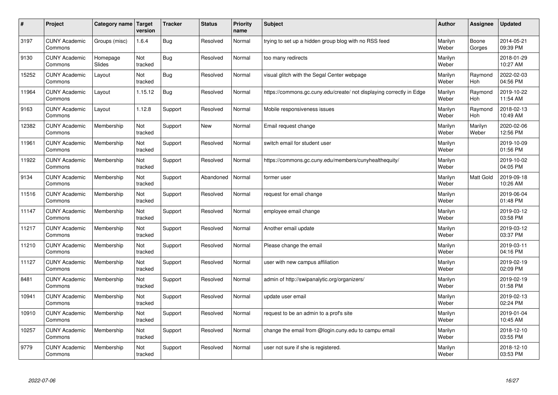| $\sharp$ | Project                         | Category name   Target | version        | <b>Tracker</b> | <b>Status</b> | <b>Priority</b><br>name | <b>Subject</b>                                                       | <b>Author</b>    | Assignee              | <b>Updated</b>         |
|----------|---------------------------------|------------------------|----------------|----------------|---------------|-------------------------|----------------------------------------------------------------------|------------------|-----------------------|------------------------|
| 3197     | <b>CUNY Academic</b><br>Commons | Groups (misc)          | 1.6.4          | Bug            | Resolved      | Normal                  | trying to set up a hidden group blog with no RSS feed                | Marilyn<br>Weber | Boone<br>Gorges       | 2014-05-21<br>09:39 PM |
| 9130     | <b>CUNY Academic</b><br>Commons | Homepage<br>Slides     | Not<br>tracked | <b>Bug</b>     | Resolved      | Normal                  | too many redirects                                                   | Marilyn<br>Weber |                       | 2018-01-29<br>10:27 AM |
| 15252    | <b>CUNY Academic</b><br>Commons | Layout                 | Not<br>tracked | Bug            | Resolved      | Normal                  | visual glitch with the Segal Center webpage                          | Marilyn<br>Weber | Raymond<br><b>Hoh</b> | 2022-02-03<br>04:56 PM |
| 11964    | <b>CUNY Academic</b><br>Commons | Layout                 | 1.15.12        | Bug            | Resolved      | Normal                  | https://commons.gc.cuny.edu/create/ not displaying correctly in Edge | Marilyn<br>Weber | Raymond<br><b>Hoh</b> | 2019-10-22<br>11:54 AM |
| 9163     | <b>CUNY Academic</b><br>Commons | Layout                 | 1.12.8         | Support        | Resolved      | Normal                  | Mobile responsiveness issues                                         | Marilyn<br>Weber | Raymond<br>Hoh        | 2018-02-13<br>10:49 AM |
| 12382    | <b>CUNY Academic</b><br>Commons | Membership             | Not<br>tracked | Support        | <b>New</b>    | Normal                  | Email request change                                                 | Marilyn<br>Weber | Marilyn<br>Weber      | 2020-02-06<br>12:56 PM |
| 11961    | <b>CUNY Academic</b><br>Commons | Membership             | Not<br>tracked | Support        | Resolved      | Normal                  | switch email for student user                                        | Marilyn<br>Weber |                       | 2019-10-09<br>01:56 PM |
| 11922    | <b>CUNY Academic</b><br>Commons | Membership             | Not<br>tracked | Support        | Resolved      | Normal                  | https://commons.gc.cuny.edu/members/cunyhealthequity/                | Marilyn<br>Weber |                       | 2019-10-02<br>04:05 PM |
| 9134     | <b>CUNY Academic</b><br>Commons | Membership             | Not<br>tracked | Support        | Abandoned     | Normal                  | former user                                                          | Marilyn<br>Weber | <b>Matt Gold</b>      | 2019-09-18<br>10:26 AM |
| 11516    | <b>CUNY Academic</b><br>Commons | Membership             | Not<br>tracked | Support        | Resolved      | Normal                  | request for email change                                             | Marilyn<br>Weber |                       | 2019-06-04<br>01:48 PM |
| 11147    | <b>CUNY Academic</b><br>Commons | Membership             | Not<br>tracked | Support        | Resolved      | Normal                  | employee email change                                                | Marilyn<br>Weber |                       | 2019-03-12<br>03:58 PM |
| 11217    | <b>CUNY Academic</b><br>Commons | Membership             | Not<br>tracked | Support        | Resolved      | Normal                  | Another email update                                                 | Marilyn<br>Weber |                       | 2019-03-12<br>03:37 PM |
| 11210    | <b>CUNY Academic</b><br>Commons | Membership             | Not<br>tracked | Support        | Resolved      | Normal                  | Please change the email                                              | Marilyn<br>Weber |                       | 2019-03-11<br>04:16 PM |
| 11127    | <b>CUNY Academic</b><br>Commons | Membership             | Not<br>tracked | Support        | Resolved      | Normal                  | user with new campus affiliation                                     | Marilyn<br>Weber |                       | 2019-02-19<br>02:09 PM |
| 8481     | <b>CUNY Academic</b><br>Commons | Membership             | Not<br>tracked | Support        | Resolved      | Normal                  | admin of http://swipanalytic.org/organizers/                         | Marilyn<br>Weber |                       | 2019-02-19<br>01:58 PM |
| 10941    | <b>CUNY Academic</b><br>Commons | Membership             | Not<br>tracked | Support        | Resolved      | Normal                  | update user email                                                    | Marilyn<br>Weber |                       | 2019-02-13<br>02:24 PM |
| 10910    | <b>CUNY Academic</b><br>Commons | Membership             | Not<br>tracked | Support        | Resolved      | Normal                  | request to be an admin to a prof's site                              | Marilyn<br>Weber |                       | 2019-01-04<br>10:45 AM |
| 10257    | <b>CUNY Academic</b><br>Commons | Membership             | Not<br>tracked | Support        | Resolved      | Normal                  | change the email from @login.cuny.edu to campu email                 | Marilyn<br>Weber |                       | 2018-12-10<br>03:55 PM |
| 9779     | <b>CUNY Academic</b><br>Commons | Membership             | Not<br>tracked | Support        | Resolved      | Normal                  | user not sure if she is registered.                                  | Marilyn<br>Weber |                       | 2018-12-10<br>03:53 PM |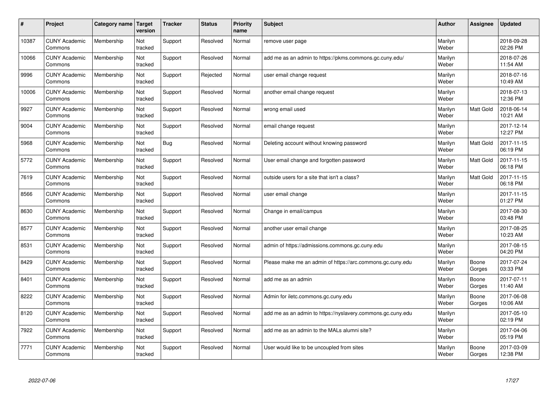| $\pmb{\#}$ | Project                         | <b>Category name</b> | <b>Target</b><br>version | <b>Tracker</b> | <b>Status</b> | <b>Priority</b><br>name | <b>Subject</b>                                              | <b>Author</b>    | Assignee         | <b>Updated</b>         |
|------------|---------------------------------|----------------------|--------------------------|----------------|---------------|-------------------------|-------------------------------------------------------------|------------------|------------------|------------------------|
| 10387      | <b>CUNY Academic</b><br>Commons | Membership           | Not<br>tracked           | Support        | Resolved      | Normal                  | remove user page                                            | Marilyn<br>Weber |                  | 2018-09-28<br>02:26 PM |
| 10066      | <b>CUNY Academic</b><br>Commons | Membership           | Not<br>tracked           | Support        | Resolved      | Normal                  | add me as an admin to https://pkms.commons.gc.cuny.edu/     | Marilyn<br>Weber |                  | 2018-07-26<br>11:54 AM |
| 9996       | <b>CUNY Academic</b><br>Commons | Membership           | Not<br>tracked           | Support        | Rejected      | Normal                  | user email change request                                   | Marilyn<br>Weber |                  | 2018-07-16<br>10:49 AM |
| 10006      | <b>CUNY Academic</b><br>Commons | Membership           | Not<br>tracked           | Support        | Resolved      | Normal                  | another email change request                                | Marilyn<br>Weber |                  | 2018-07-13<br>12:36 PM |
| 9927       | <b>CUNY Academic</b><br>Commons | Membership           | Not<br>tracked           | Support        | Resolved      | Normal                  | wrong email used                                            | Marilyn<br>Weber | Matt Gold        | 2018-06-14<br>10:21 AM |
| 9004       | <b>CUNY Academic</b><br>Commons | Membership           | Not<br>tracked           | Support        | Resolved      | Normal                  | email change request                                        | Marilyn<br>Weber |                  | 2017-12-14<br>12:27 PM |
| 5968       | <b>CUNY Academic</b><br>Commons | Membership           | Not<br>tracked           | <b>Bug</b>     | Resolved      | Normal                  | Deleting account without knowing password                   | Marilyn<br>Weber | <b>Matt Gold</b> | 2017-11-15<br>06:19 PM |
| 5772       | <b>CUNY Academic</b><br>Commons | Membership           | Not<br>tracked           | Support        | Resolved      | Normal                  | User email change and forgotten password                    | Marilyn<br>Weber | Matt Gold        | 2017-11-15<br>06:18 PM |
| 7619       | <b>CUNY Academic</b><br>Commons | Membership           | Not<br>tracked           | Support        | Resolved      | Normal                  | outside users for a site that isn't a class?                | Marilyn<br>Weber | <b>Matt Gold</b> | 2017-11-15<br>06:18 PM |
| 8566       | <b>CUNY Academic</b><br>Commons | Membership           | Not<br>tracked           | Support        | Resolved      | Normal                  | user email change                                           | Marilyn<br>Weber |                  | 2017-11-15<br>01:27 PM |
| 8630       | <b>CUNY Academic</b><br>Commons | Membership           | Not<br>tracked           | Support        | Resolved      | Normal                  | Change in email/campus                                      | Marilyn<br>Weber |                  | 2017-08-30<br>03:48 PM |
| 8577       | <b>CUNY Academic</b><br>Commons | Membership           | Not<br>tracked           | Support        | Resolved      | Normal                  | another user email change                                   | Marilyn<br>Weber |                  | 2017-08-25<br>10:23 AM |
| 8531       | <b>CUNY Academic</b><br>Commons | Membership           | Not<br>tracked           | Support        | Resolved      | Normal                  | admin of https://admissions.commons.gc.cuny.edu             | Marilyn<br>Weber |                  | 2017-08-15<br>04:20 PM |
| 8429       | <b>CUNY Academic</b><br>Commons | Membership           | Not<br>tracked           | Support        | Resolved      | Normal                  | Please make me an admin of https://arc.commons.gc.cuny.edu  | Marilyn<br>Weber | Boone<br>Gorges  | 2017-07-24<br>03:33 PM |
| 8401       | <b>CUNY Academic</b><br>Commons | Membership           | Not<br>tracked           | Support        | Resolved      | Normal                  | add me as an admin                                          | Marilyn<br>Weber | Boone<br>Gorges  | 2017-07-11<br>11:40 AM |
| 8222       | <b>CUNY Academic</b><br>Commons | Membership           | Not<br>tracked           | Support        | Resolved      | Normal                  | Admin for iletc.commons.gc.cuny.edu                         | Marilyn<br>Weber | Boone<br>Gorges  | 2017-06-08<br>10:06 AM |
| 8120       | <b>CUNY Academic</b><br>Commons | Membership           | Not<br>tracked           | Support        | Resolved      | Normal                  | add me as an admin to https://nyslavery.commons.gc.cuny.edu | Marilyn<br>Weber |                  | 2017-05-10<br>02:19 PM |
| 7922       | <b>CUNY Academic</b><br>Commons | Membership           | Not<br>tracked           | Support        | Resolved      | Normal                  | add me as an admin to the MALs alumni site?                 | Marilyn<br>Weber |                  | 2017-04-06<br>05:19 PM |
| 7771       | <b>CUNY Academic</b><br>Commons | Membership           | Not<br>tracked           | Support        | Resolved      | Normal                  | User would like to be uncoupled from sites                  | Marilyn<br>Weber | Boone<br>Gorges  | 2017-03-09<br>12:38 PM |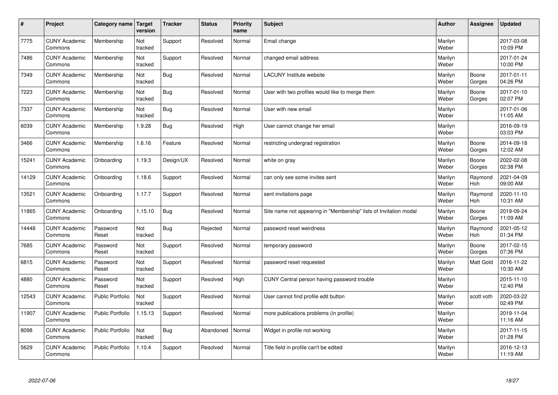| $\sharp$ | Project                         | Category name   Target  | version        | <b>Tracker</b> | <b>Status</b> | <b>Priority</b><br>name | <b>Subject</b>                                                    | <b>Author</b>    | Assignee              | <b>Updated</b>         |
|----------|---------------------------------|-------------------------|----------------|----------------|---------------|-------------------------|-------------------------------------------------------------------|------------------|-----------------------|------------------------|
| 7775     | <b>CUNY Academic</b><br>Commons | Membership              | Not<br>tracked | Support        | Resolved      | Normal                  | Email change                                                      | Marilyn<br>Weber |                       | 2017-03-08<br>10:09 PM |
| 7486     | <b>CUNY Academic</b><br>Commons | Membership              | Not<br>tracked | Support        | Resolved      | Normal                  | changed email address                                             | Marilyn<br>Weber |                       | 2017-01-24<br>10:00 PM |
| 7349     | <b>CUNY Academic</b><br>Commons | Membership              | Not<br>tracked | Bug            | Resolved      | Normal                  | <b>LACUNY</b> Institute website                                   | Marilyn<br>Weber | Boone<br>Gorges       | 2017-01-11<br>04:26 PM |
| 7223     | <b>CUNY Academic</b><br>Commons | Membership              | Not<br>tracked | Bug            | Resolved      | Normal                  | User with two profiles would like to merge them                   | Marilyn<br>Weber | Boone<br>Gorges       | 2017-01-10<br>02:07 PM |
| 7337     | <b>CUNY Academic</b><br>Commons | Membership              | Not<br>tracked | Bug            | Resolved      | Normal                  | User with new email                                               | Marilyn<br>Weber |                       | 2017-01-06<br>11:05 AM |
| 6039     | <b>CUNY Academic</b><br>Commons | Membership              | 1.9.28         | <b>Bug</b>     | Resolved      | High                    | User cannot change her email                                      | Marilyn<br>Weber |                       | 2016-09-19<br>03:03 PM |
| 3466     | <b>CUNY Academic</b><br>Commons | Membership              | 1.6.16         | Feature        | Resolved      | Normal                  | restricting undergrad registration                                | Marilyn<br>Weber | Boone<br>Gorges       | 2014-09-18<br>12:02 AM |
| 15241    | <b>CUNY Academic</b><br>Commons | Onboarding              | 1.19.3         | Design/UX      | Resolved      | Normal                  | white on gray                                                     | Marilyn<br>Weber | Boone<br>Gorges       | 2022-02-08<br>02:38 PM |
| 14129    | <b>CUNY Academic</b><br>Commons | Onboarding              | 1.18.6         | Support        | Resolved      | Normal                  | can only see some invites sent                                    | Marilyn<br>Weber | Raymond<br>Hoh        | 2021-04-09<br>09:00 AM |
| 13521    | <b>CUNY Academic</b><br>Commons | Onboarding              | 1.17.7         | Support        | Resolved      | Normal                  | sent invitations page                                             | Marilyn<br>Weber | Raymond<br>Hoh        | 2020-11-10<br>10:31 AM |
| 11865    | <b>CUNY Academic</b><br>Commons | Onboarding              | 1.15.10        | Bug            | Resolved      | Normal                  | Site name not appearing in "Membership" lists of Invitation modal | Marilyn<br>Weber | Boone<br>Gorges       | 2019-09-24<br>11:09 AM |
| 14448    | <b>CUNY Academic</b><br>Commons | Password<br>Reset       | Not<br>tracked | <b>Bug</b>     | Rejected      | Normal                  | password reset weirdness                                          | Marilyn<br>Weber | Raymond<br><b>Hoh</b> | 2021-05-12<br>01:34 PM |
| 7685     | <b>CUNY Academic</b><br>Commons | Password<br>Reset       | Not<br>tracked | Support        | Resolved      | Normal                  | temporary password                                                | Marilyn<br>Weber | Boone<br>Gorges       | 2017-02-15<br>07:36 PM |
| 6815     | <b>CUNY Academic</b><br>Commons | Password<br>Reset       | Not<br>tracked | Support        | Resolved      | Normal                  | password reset requested                                          | Marilyn<br>Weber | <b>Matt Gold</b>      | 2016-11-22<br>10:30 AM |
| 4880     | <b>CUNY Academic</b><br>Commons | Password<br>Reset       | Not<br>tracked | Support        | Resolved      | High                    | CUNY Central person having password trouble                       | Marilyn<br>Weber |                       | 2015-11-10<br>12:40 PM |
| 12543    | <b>CUNY Academic</b><br>Commons | Public Portfolio        | Not<br>tracked | Support        | Resolved      | Normal                  | User cannot find profile edit button                              | Marilyn<br>Weber | scott voth            | 2020-03-22<br>02:49 PM |
| 11907    | <b>CUNY Academic</b><br>Commons | <b>Public Portfolio</b> | 1.15.13        | Support        | Resolved      | Normal                  | more publications problems (in profile)                           | Marilyn<br>Weber |                       | 2019-11-04<br>11:16 AM |
| 8098     | <b>CUNY Academic</b><br>Commons | Public Portfolio        | Not<br>tracked | <b>Bug</b>     | Abandoned     | Normal                  | Widget in profile not working                                     | Marilyn<br>Weber |                       | 2017-11-15<br>01:28 PM |
| 5629     | <b>CUNY Academic</b><br>Commons | <b>Public Portfolio</b> | 1.10.4         | Support        | Resolved      | Normal                  | Title field in profile can't be edited                            | Marilyn<br>Weber |                       | 2016-12-13<br>11:19 AM |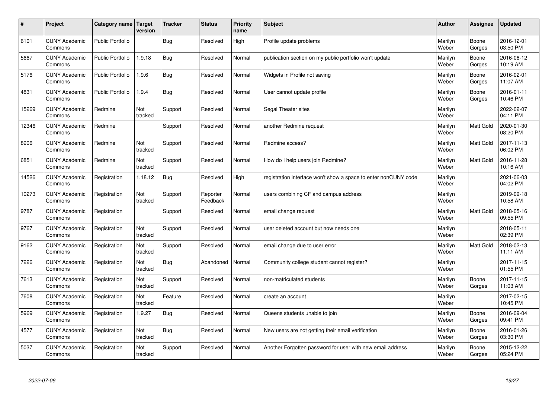| $\pmb{\#}$ | Project                         | Category name           | Target<br>version | <b>Tracker</b> | <b>Status</b>        | <b>Priority</b><br>name | <b>Subject</b>                                                  | <b>Author</b>    | Assignee        | <b>Updated</b>         |
|------------|---------------------------------|-------------------------|-------------------|----------------|----------------------|-------------------------|-----------------------------------------------------------------|------------------|-----------------|------------------------|
| 6101       | <b>CUNY Academic</b><br>Commons | <b>Public Portfolio</b> |                   | Bug            | Resolved             | High                    | Profile update problems                                         | Marilyn<br>Weber | Boone<br>Gorges | 2016-12-01<br>03:50 PM |
| 5667       | <b>CUNY Academic</b><br>Commons | <b>Public Portfolio</b> | 1.9.18            | <b>Bug</b>     | Resolved             | Normal                  | publication section on my public portfolio won't update         | Marilyn<br>Weber | Boone<br>Gorges | 2016-06-12<br>10:19 AM |
| 5176       | <b>CUNY Academic</b><br>Commons | <b>Public Portfolio</b> | 1.9.6             | <b>Bug</b>     | Resolved             | Normal                  | Widgets in Profile not saving                                   | Marilyn<br>Weber | Boone<br>Gorges | 2016-02-01<br>11:07 AM |
| 4831       | <b>CUNY Academic</b><br>Commons | <b>Public Portfolio</b> | 1.9.4             | <b>Bug</b>     | Resolved             | Normal                  | User cannot update profile                                      | Marilyn<br>Weber | Boone<br>Gorges | 2016-01-11<br>10:46 PM |
| 15269      | <b>CUNY Academic</b><br>Commons | Redmine                 | Not<br>tracked    | Support        | Resolved             | Normal                  | Segal Theater sites                                             | Marilyn<br>Weber |                 | 2022-02-07<br>04:11 PM |
| 12346      | <b>CUNY Academic</b><br>Commons | Redmine                 |                   | Support        | Resolved             | Normal                  | another Redmine request                                         | Marilyn<br>Weber | Matt Gold       | 2020-01-30<br>08:20 PM |
| 8906       | <b>CUNY Academic</b><br>Commons | Redmine                 | Not<br>tracked    | Support        | Resolved             | Normal                  | Redmine access?                                                 | Marilyn<br>Weber | Matt Gold       | 2017-11-13<br>06:02 PM |
| 6851       | <b>CUNY Academic</b><br>Commons | Redmine                 | Not<br>tracked    | Support        | Resolved             | Normal                  | How do I help users join Redmine?                               | Marilyn<br>Weber | Matt Gold       | 2016-11-28<br>10:16 AM |
| 14526      | <b>CUNY Academic</b><br>Commons | Registration            | 1.18.12           | Bug            | Resolved             | High                    | registration interface won't show a space to enter nonCUNY code | Marilyn<br>Weber |                 | 2021-06-03<br>04:02 PM |
| 10273      | <b>CUNY Academic</b><br>Commons | Registration            | Not<br>tracked    | Support        | Reporter<br>Feedback | Normal                  | users combining CF and campus address                           | Marilyn<br>Weber |                 | 2019-09-18<br>10:58 AM |
| 9787       | <b>CUNY Academic</b><br>Commons | Registration            |                   | Support        | Resolved             | Normal                  | email change request                                            | Marilyn<br>Weber | Matt Gold       | 2018-05-16<br>09:55 PM |
| 9767       | <b>CUNY Academic</b><br>Commons | Registration            | Not<br>tracked    | Support        | Resolved             | Normal                  | user deleted account but now needs one                          | Marilyn<br>Weber |                 | 2018-05-11<br>02:39 PM |
| 9162       | <b>CUNY Academic</b><br>Commons | Registration            | Not<br>tracked    | Support        | Resolved             | Normal                  | email change due to user error                                  | Marilyn<br>Weber | Matt Gold       | 2018-02-13<br>11:11 AM |
| 7226       | <b>CUNY Academic</b><br>Commons | Registration            | Not<br>tracked    | Bug            | Abandoned            | Normal                  | Community college student cannot register?                      | Marilyn<br>Weber |                 | 2017-11-15<br>01:55 PM |
| 7613       | <b>CUNY Academic</b><br>Commons | Registration            | Not<br>tracked    | Support        | Resolved             | Normal                  | non-matriculated students                                       | Marilyn<br>Weber | Boone<br>Gorges | 2017-11-15<br>11:03 AM |
| 7608       | <b>CUNY Academic</b><br>Commons | Registration            | Not<br>tracked    | Feature        | Resolved             | Normal                  | create an account                                               | Marilyn<br>Weber |                 | 2017-02-15<br>10:45 PM |
| 5969       | <b>CUNY Academic</b><br>Commons | Registration            | 1.9.27            | <b>Bug</b>     | Resolved             | Normal                  | Queens students unable to join                                  | Marilyn<br>Weber | Boone<br>Gorges | 2016-09-04<br>09:41 PM |
| 4577       | <b>CUNY Academic</b><br>Commons | Registration            | Not<br>tracked    | Bug            | Resolved             | Normal                  | New users are not getting their email verification              | Marilyn<br>Weber | Boone<br>Gorges | 2016-01-26<br>03:30 PM |
| 5037       | <b>CUNY Academic</b><br>Commons | Registration            | Not<br>tracked    | Support        | Resolved             | Normal                  | Another Forgotten password for user with new email address      | Marilyn<br>Weber | Boone<br>Gorges | 2015-12-22<br>05:24 PM |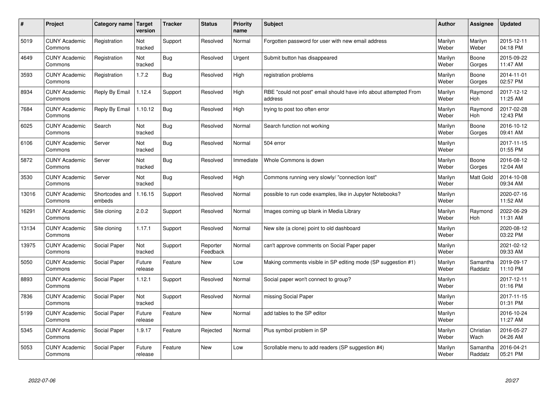| #     | Project                         | <b>Category name</b>     | Target<br>version     | <b>Tracker</b> | <b>Status</b>        | <b>Priority</b><br>name | <b>Subject</b>                                                              | <b>Author</b>    | Assignee            | <b>Updated</b>         |
|-------|---------------------------------|--------------------------|-----------------------|----------------|----------------------|-------------------------|-----------------------------------------------------------------------------|------------------|---------------------|------------------------|
| 5019  | <b>CUNY Academic</b><br>Commons | Registration             | Not<br>tracked        | Support        | Resolved             | Normal                  | Forgotten password for user with new email address                          | Marilyn<br>Weber | Marilyn<br>Weber    | 2015-12-11<br>04:18 PM |
| 4649  | <b>CUNY Academic</b><br>Commons | Registration             | Not<br>tracked        | Bug            | Resolved             | Urgent                  | Submit button has disappeared                                               | Marilyn<br>Weber | Boone<br>Gorges     | 2015-09-22<br>11:47 AM |
| 3593  | <b>CUNY Academic</b><br>Commons | Registration             | 1.7.2                 | <b>Bug</b>     | Resolved             | High                    | registration problems                                                       | Marilyn<br>Weber | Boone<br>Gorges     | 2014-11-01<br>02:57 PM |
| 8934  | <b>CUNY Academic</b><br>Commons | Reply By Email           | 1.12.4                | Support        | Resolved             | High                    | RBE "could not post" email should have info about attempted From<br>address | Marilyn<br>Weber | Raymond<br>Hoh      | 2017-12-12<br>11:25 AM |
| 7684  | <b>CUNY Academic</b><br>Commons | Reply By Email           | 1.10.12               | Bug            | Resolved             | High                    | trying to post too often error                                              | Marilyn<br>Weber | Raymond<br>Hoh      | 2017-02-28<br>12:43 PM |
| 6025  | <b>CUNY Academic</b><br>Commons | Search                   | <b>Not</b><br>tracked | Bug            | Resolved             | Normal                  | Search function not working                                                 | Marilyn<br>Weber | Boone<br>Gorges     | 2016-10-12<br>09:41 AM |
| 6106  | <b>CUNY Academic</b><br>Commons | Server                   | Not<br>tracked        | <b>Bug</b>     | Resolved             | Normal                  | 504 error                                                                   | Marilyn<br>Weber |                     | 2017-11-15<br>01:55 PM |
| 5872  | <b>CUNY Academic</b><br>Commons | Server                   | Not<br>tracked        | <b>Bug</b>     | Resolved             | Immediate               | Whole Commons is down                                                       | Marilyn<br>Weber | Boone<br>Gorges     | 2016-08-12<br>12:04 AM |
| 3530  | <b>CUNY Academic</b><br>Commons | Server                   | Not<br>tracked        | Bug            | Resolved             | High                    | Commons running very slowly/ "connection lost"                              | Marilyn<br>Weber | Matt Gold           | 2014-10-08<br>09:34 AM |
| 13016 | <b>CUNY Academic</b><br>Commons | Shortcodes and<br>embeds | 1.16.15               | Support        | Resolved             | Normal                  | possible to run code examples, like in Jupyter Notebooks?                   | Marilyn<br>Weber |                     | 2020-07-16<br>11:52 AM |
| 16291 | <b>CUNY Academic</b><br>Commons | Site cloning             | 2.0.2                 | Support        | Resolved             | Normal                  | Images coming up blank in Media Library                                     | Marilyn<br>Weber | Raymond<br>Hoh      | 2022-06-29<br>11:31 AM |
| 13134 | <b>CUNY Academic</b><br>Commons | Site cloning             | 1.17.1                | Support        | Resolved             | Normal                  | New site (a clone) point to old dashboard                                   | Marilyn<br>Weber |                     | 2020-08-12<br>03:22 PM |
| 13975 | <b>CUNY Academic</b><br>Commons | Social Paper             | Not<br>tracked        | Support        | Reporter<br>Feedback | Normal                  | can't approve comments on Social Paper paper                                | Marilyn<br>Weber |                     | 2021-02-12<br>09:33 AM |
| 5050  | <b>CUNY Academic</b><br>Commons | Social Paper             | Future<br>release     | Feature        | <b>New</b>           | Low                     | Making comments visible in SP editing mode (SP suggestion #1)               | Marilyn<br>Weber | Samantha<br>Raddatz | 2019-09-17<br>11:10 PM |
| 8893  | <b>CUNY Academic</b><br>Commons | Social Paper             | 1.12.1                | Support        | Resolved             | Normal                  | Social paper won't connect to group?                                        | Marilyn<br>Weber |                     | 2017-12-11<br>01:16 PM |
| 7836  | <b>CUNY Academic</b><br>Commons | Social Paper             | Not<br>tracked        | Support        | Resolved             | Normal                  | missing Social Paper                                                        | Marilyn<br>Weber |                     | 2017-11-15<br>01:31 PM |
| 5199  | <b>CUNY Academic</b><br>Commons | Social Paper             | Future<br>release     | Feature        | <b>New</b>           | Normal                  | add tables to the SP editor                                                 | Marilyn<br>Weber |                     | 2016-10-24<br>11:27 AM |
| 5345  | <b>CUNY Academic</b><br>Commons | Social Paper             | 1.9.17                | Feature        | Rejected             | Normal                  | Plus symbol problem in SP                                                   | Marilyn<br>Weber | Christian<br>Wach   | 2016-05-27<br>04:26 AM |
| 5053  | <b>CUNY Academic</b><br>Commons | Social Paper             | Future<br>release     | Feature        | <b>New</b>           | Low                     | Scrollable menu to add readers (SP suggestion #4)                           | Marilyn<br>Weber | Samantha<br>Raddatz | 2016-04-21<br>05:21 PM |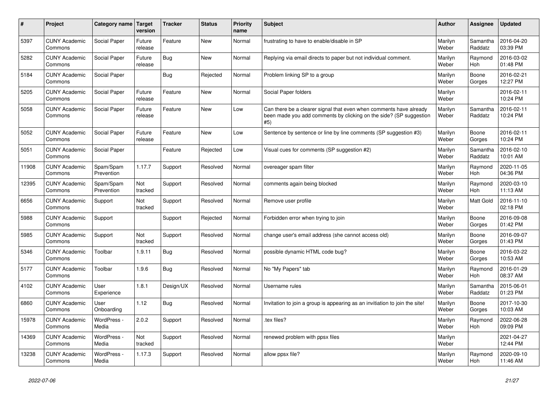| $\vert$ # | Project                         | Category name Target    | version           | <b>Tracker</b> | <b>Status</b> | Priority<br>name | <b>Subject</b>                                                                                                                                  | <b>Author</b>    | Assignee              | <b>Updated</b>         |
|-----------|---------------------------------|-------------------------|-------------------|----------------|---------------|------------------|-------------------------------------------------------------------------------------------------------------------------------------------------|------------------|-----------------------|------------------------|
| 5397      | <b>CUNY Academic</b><br>Commons | Social Paper            | Future<br>release | Feature        | <b>New</b>    | Normal           | frustrating to have to enable/disable in SP                                                                                                     | Marilyn<br>Weber | Samantha<br>Raddatz   | 2016-04-20<br>03:39 PM |
| 5282      | <b>CUNY Academic</b><br>Commons | Social Paper            | Future<br>release | <b>Bug</b>     | <b>New</b>    | Normal           | Replying via email directs to paper but not individual comment.                                                                                 | Marilyn<br>Weber | Raymond<br>Hoh        | 2016-03-02<br>01:48 PM |
| 5184      | <b>CUNY Academic</b><br>Commons | Social Paper            |                   | <b>Bug</b>     | Rejected      | Normal           | Problem linking SP to a group                                                                                                                   | Marilyn<br>Weber | Boone<br>Gorges       | 2016-02-21<br>12:27 PM |
| 5205      | <b>CUNY Academic</b><br>Commons | Social Paper            | Future<br>release | Feature        | <b>New</b>    | Normal           | Social Paper folders                                                                                                                            | Marilyn<br>Weber |                       | 2016-02-11<br>10:24 PM |
| 5058      | <b>CUNY Academic</b><br>Commons | Social Paper            | Future<br>release | Feature        | <b>New</b>    | Low              | Can there be a clearer signal that even when comments have already<br>been made you add comments by clicking on the side? (SP suggestion<br>#5) | Marilyn<br>Weber | Samantha<br>Raddatz   | 2016-02-11<br>10:24 PM |
| 5052      | <b>CUNY Academic</b><br>Commons | Social Paper            | Future<br>release | Feature        | <b>New</b>    | Low              | Sentence by sentence or line by line comments (SP suggestion #3)                                                                                | Marilyn<br>Weber | Boone<br>Gorges       | 2016-02-11<br>10:24 PM |
| 5051      | <b>CUNY Academic</b><br>Commons | Social Paper            |                   | Feature        | Rejected      | Low              | Visual cues for comments (SP suggestion #2)                                                                                                     | Marilyn<br>Weber | Samantha<br>Raddatz   | 2016-02-10<br>10:01 AM |
| 11908     | <b>CUNY Academic</b><br>Commons | Spam/Spam<br>Prevention | 1.17.7            | Support        | Resolved      | Normal           | overeager spam filter                                                                                                                           | Marilyn<br>Weber | Raymond<br>Hoh        | 2020-11-05<br>04:36 PM |
| 12395     | <b>CUNY Academic</b><br>Commons | Spam/Spam<br>Prevention | Not<br>tracked    | Support        | Resolved      | Normal           | comments again being blocked                                                                                                                    | Marilyn<br>Weber | Raymond<br>Hoh        | 2020-03-10<br>11:13 AM |
| 6656      | <b>CUNY Academic</b><br>Commons | Support                 | Not<br>tracked    | Support        | Resolved      | Normal           | Remove user profile                                                                                                                             | Marilyn<br>Weber | Matt Gold             | 2016-11-10<br>02:18 PM |
| 5988      | <b>CUNY Academic</b><br>Commons | Support                 |                   | Support        | Rejected      | Normal           | Forbidden error when trying to join                                                                                                             | Marilyn<br>Weber | Boone<br>Gorges       | 2016-09-08<br>01:42 PM |
| 5985      | <b>CUNY Academic</b><br>Commons | Support                 | Not<br>tracked    | Support        | Resolved      | Normal           | change user's email address (she cannot access old)                                                                                             | Marilyn<br>Weber | Boone<br>Gorges       | 2016-09-07<br>01:43 PM |
| 5346      | <b>CUNY Academic</b><br>Commons | Toolbar                 | 1.9.11            | Bug            | Resolved      | Normal           | possible dynamic HTML code bug?                                                                                                                 | Marilyn<br>Weber | Boone<br>Gorges       | 2016-03-22<br>10:53 AM |
| 5177      | <b>CUNY Academic</b><br>Commons | Toolbar                 | 1.9.6             | <b>Bug</b>     | Resolved      | Normal           | No "My Papers" tab                                                                                                                              | Marilyn<br>Weber | Raymond<br>Hoh        | 2016-01-29<br>08:37 AM |
| 4102      | <b>CUNY Academic</b><br>Commons | User<br>Experience      | 1.8.1             | Design/UX      | Resolved      | Normal           | Username rules                                                                                                                                  | Marilyn<br>Weber | Samantha<br>Raddatz   | 2015-06-01<br>01:23 PM |
| 6860      | <b>CUNY Academic</b><br>Commons | User<br>Onboarding      | 1.12              | <b>Bug</b>     | Resolved      | Normal           | Invitation to join a group is appearing as an invitiation to join the site!                                                                     | Marilyn<br>Weber | Boone<br>Gorges       | 2017-10-30<br>10:03 AM |
| 15978     | <b>CUNY Academic</b><br>Commons | WordPress -<br>Media    | 2.0.2             | Support        | Resolved      | Normal           | tex files?                                                                                                                                      | Marilyn<br>Weber | Raymond<br><b>Hoh</b> | 2022-06-28<br>09:09 PM |
| 14369     | <b>CUNY Academic</b><br>Commons | WordPress -<br>Media    | Not<br>tracked    | Support        | Resolved      | Normal           | renewed problem with ppsx files                                                                                                                 | Marilyn<br>Weber |                       | 2021-04-27<br>12:44 PM |
| 13238     | <b>CUNY Academic</b><br>Commons | WordPress -<br>Media    | 1.17.3            | Support        | Resolved      | Normal           | allow ppsx file?                                                                                                                                | Marilyn<br>Weber | Raymond<br>Hoh        | 2020-09-10<br>11:46 AM |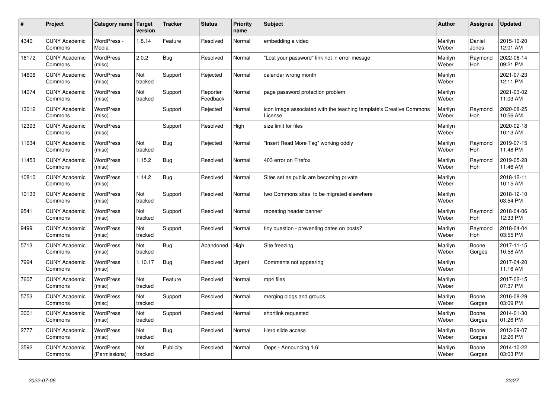| $\sharp$ | Project                         | Category name   Target            | version        | <b>Tracker</b> | <b>Status</b>        | <b>Priority</b><br>name | <b>Subject</b>                                                                 | <b>Author</b>    | Assignee        | Updated                |
|----------|---------------------------------|-----------------------------------|----------------|----------------|----------------------|-------------------------|--------------------------------------------------------------------------------|------------------|-----------------|------------------------|
| 4340     | <b>CUNY Academic</b><br>Commons | WordPress -<br>Media              | 1.8.14         | Feature        | Resolved             | Normal                  | embedding a video                                                              | Marilyn<br>Weber | Daniel<br>Jones | 2015-10-20<br>12:01 AM |
| 16172    | <b>CUNY Academic</b><br>Commons | <b>WordPress</b><br>(misc)        | 2.0.2          | Bug            | Resolved             | Normal                  | 'Lost your password" link not in error messge                                  | Marilyn<br>Weber | Raymond<br>Hoh  | 2022-06-14<br>09:21 PM |
| 14606    | <b>CUNY Academic</b><br>Commons | <b>WordPress</b><br>(misc)        | Not<br>tracked | Support        | Rejected             | Normal                  | calendar wrong month                                                           | Marilyn<br>Weber |                 | 2021-07-23<br>12:11 PM |
| 14074    | <b>CUNY Academic</b><br>Commons | <b>WordPress</b><br>(misc)        | Not<br>tracked | Support        | Reporter<br>Feedback | Normal                  | page password protection problem                                               | Marilyn<br>Weber |                 | 2021-03-02<br>11:03 AM |
| 13012    | <b>CUNY Academic</b><br>Commons | <b>WordPress</b><br>(misc)        |                | Support        | Rejected             | Normal                  | icon image associated with the teaching template's Creative Commons<br>License | Marilyn<br>Weber | Raymond<br>Hoh  | 2020-08-25<br>10:56 AM |
| 12393    | <b>CUNY Academic</b><br>Commons | WordPress<br>(misc)               |                | Support        | Resolved             | High                    | size limit for files                                                           | Marilyn<br>Weber |                 | 2020-02-18<br>10:13 AM |
| 11634    | <b>CUNY Academic</b><br>Commons | <b>WordPress</b><br>(misc)        | Not<br>tracked | Bug            | Rejected             | Normal                  | 'Insert Read More Tag" working oddly                                           | Marilyn<br>Weber | Raymond<br>Hoh  | 2019-07-15<br>11:48 PM |
| 11453    | <b>CUNY Academic</b><br>Commons | <b>WordPress</b><br>(misc)        | 1.15.2         | <b>Bug</b>     | Resolved             | Normal                  | 403 error on Firefox                                                           | Marilyn<br>Weber | Raymond<br>Hoh  | 2019-05-28<br>11:46 AM |
| 10810    | <b>CUNY Academic</b><br>Commons | <b>WordPress</b><br>(misc)        | 1.14.2         | Bug            | Resolved             | Normal                  | Sites set as public are becoming private                                       | Marilyn<br>Weber |                 | 2018-12-11<br>10:15 AM |
| 10133    | <b>CUNY Academic</b><br>Commons | WordPress<br>(misc)               | Not<br>tracked | Support        | Resolved             | Normal                  | two Commons sites to be migrated elsewhere                                     | Marilyn<br>Weber |                 | 2018-12-10<br>03:54 PM |
| 9541     | <b>CUNY Academic</b><br>Commons | WordPress<br>(misc)               | Not<br>tracked | Support        | Resolved             | Normal                  | repeating header banner                                                        | Marilyn<br>Weber | Raymond<br>Hoh  | 2018-04-06<br>12:33 PM |
| 9499     | <b>CUNY Academic</b><br>Commons | <b>WordPress</b><br>(misc)        | Not<br>tracked | Support        | Resolved             | Normal                  | tiny question - preventing dates on posts?                                     | Marilyn<br>Weber | Raymond<br>Hoh  | 2018-04-04<br>03:55 PM |
| 5713     | <b>CUNY Academic</b><br>Commons | WordPress<br>(misc)               | Not<br>tracked | Bug            | Abandoned            | High                    | Site freezing                                                                  | Marilyn<br>Weber | Boone<br>Gorges | 2017-11-15<br>10:58 AM |
| 7994     | <b>CUNY Academic</b><br>Commons | WordPress<br>(misc)               | 1.10.17        | Bug            | Resolved             | Urgent                  | Comments not appearing                                                         | Marilyn<br>Weber |                 | 2017-04-20<br>11:16 AM |
| 7607     | <b>CUNY Academic</b><br>Commons | <b>WordPress</b><br>(misc)        | Not<br>tracked | Feature        | Resolved             | Normal                  | mp4 files                                                                      | Marilyn<br>Weber |                 | 2017-02-15<br>07:37 PM |
| 5753     | <b>CUNY Academic</b><br>Commons | <b>WordPress</b><br>(misc)        | Not<br>tracked | Support        | Resolved             | Normal                  | merging blogs and groups                                                       | Marilyn<br>Weber | Boone<br>Gorges | 2016-08-29<br>03:09 PM |
| 3001     | <b>CUNY Academic</b><br>Commons | WordPress<br>(misc)               | Not<br>tracked | Support        | Resolved             | Normal                  | shortlink requested                                                            | Marilyn<br>Weber | Boone<br>Gorges | 2014-01-30<br>01:26 PM |
| 2777     | <b>CUNY Academic</b><br>Commons | WordPress<br>(misc)               | Not<br>tracked | Bug            | Resolved             | Normal                  | Hero slide access                                                              | Marilyn<br>Weber | Boone<br>Gorges | 2013-09-07<br>12:26 PM |
| 3592     | <b>CUNY Academic</b><br>Commons | <b>WordPress</b><br>(Permissions) | Not<br>tracked | Publicity      | Resolved             | Normal                  | Oops - Announcing 1.6!                                                         | Marilyn<br>Weber | Boone<br>Gorges | 2014-10-22<br>03:03 PM |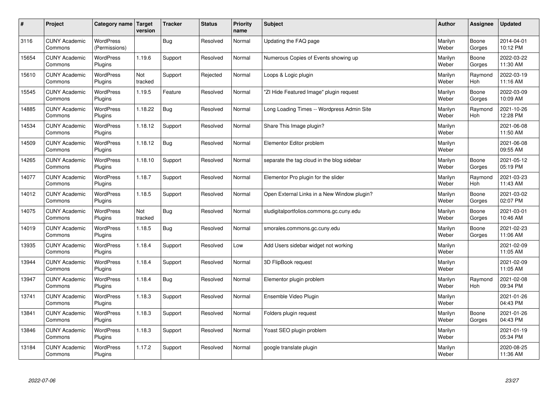| #     | Project                         | Category name   Target            | version        | <b>Tracker</b> | <b>Status</b> | <b>Priority</b><br>name | <b>Subject</b>                              | <b>Author</b>    | Assignee              | <b>Updated</b>         |
|-------|---------------------------------|-----------------------------------|----------------|----------------|---------------|-------------------------|---------------------------------------------|------------------|-----------------------|------------------------|
| 3116  | <b>CUNY Academic</b><br>Commons | <b>WordPress</b><br>(Permissions) |                | Bug            | Resolved      | Normal                  | Updating the FAQ page                       | Marilyn<br>Weber | Boone<br>Gorges       | 2014-04-01<br>10:12 PM |
| 15654 | <b>CUNY Academic</b><br>Commons | <b>WordPress</b><br>Plugins       | 1.19.6         | Support        | Resolved      | Normal                  | Numerous Copies of Events showing up        | Marilyn<br>Weber | Boone<br>Gorges       | 2022-03-22<br>11:30 AM |
| 15610 | <b>CUNY Academic</b><br>Commons | <b>WordPress</b><br>Plugins       | Not<br>tracked | Support        | Rejected      | Normal                  | Loops & Logic plugin                        | Marilyn<br>Weber | Raymond<br><b>Hoh</b> | 2022-03-19<br>11:16 AM |
| 15545 | <b>CUNY Academic</b><br>Commons | <b>WordPress</b><br>Plugins       | 1.19.5         | Feature        | Resolved      | Normal                  | 'ZI Hide Featured Image" plugin request     | Marilyn<br>Weber | Boone<br>Gorges       | 2022-03-09<br>10:09 AM |
| 14885 | <b>CUNY Academic</b><br>Commons | <b>WordPress</b><br>Plugins       | 1.18.22        | Bug            | Resolved      | Normal                  | Long Loading Times -- Wordpress Admin Site  | Marilyn<br>Weber | Raymond<br>Hoh        | 2021-10-26<br>12:28 PM |
| 14534 | <b>CUNY Academic</b><br>Commons | WordPress<br>Plugins              | 1.18.12        | Support        | Resolved      | Normal                  | Share This Image plugin?                    | Marilyn<br>Weber |                       | 2021-06-08<br>11:50 AM |
| 14509 | <b>CUNY Academic</b><br>Commons | <b>WordPress</b><br>Plugins       | 1.18.12        | <b>Bug</b>     | Resolved      | Normal                  | Elementor Editor problem                    | Marilyn<br>Weber |                       | 2021-06-08<br>09:55 AM |
| 14265 | <b>CUNY Academic</b><br>Commons | <b>WordPress</b><br>Plugins       | 1.18.10        | Support        | Resolved      | Normal                  | separate the tag cloud in the blog sidebar  | Marilyn<br>Weber | Boone<br>Gorges       | 2021-05-12<br>05:19 PM |
| 14077 | <b>CUNY Academic</b><br>Commons | <b>WordPress</b><br>Plugins       | 1.18.7         | Support        | Resolved      | Normal                  | Elementor Pro plugin for the slider         | Marilyn<br>Weber | Raymond<br><b>Hoh</b> | 2021-03-23<br>11:43 AM |
| 14012 | <b>CUNY Academic</b><br>Commons | WordPress<br>Plugins              | 1.18.5         | Support        | Resolved      | Normal                  | Open External Links in a New Window plugin? | Marilyn<br>Weber | Boone<br>Gorges       | 2021-03-02<br>02:07 PM |
| 14075 | <b>CUNY Academic</b><br>Commons | WordPress<br>Plugins              | Not<br>tracked | <b>Bug</b>     | Resolved      | Normal                  | sludigitalportfolios.commons.gc.cuny.edu    | Marilyn<br>Weber | Boone<br>Gorges       | 2021-03-01<br>10:46 AM |
| 14019 | <b>CUNY Academic</b><br>Commons | <b>WordPress</b><br>Plugins       | 1.18.5         | <b>Bug</b>     | Resolved      | Normal                  | smorales.commons.gc.cuny.edu                | Marilyn<br>Weber | Boone<br>Gorges       | 2021-02-23<br>11:06 AM |
| 13935 | <b>CUNY Academic</b><br>Commons | <b>WordPress</b><br>Plugins       | 1.18.4         | Support        | Resolved      | Low                     | Add Users sidebar widget not working        | Marilyn<br>Weber |                       | 2021-02-09<br>11:05 AM |
| 13944 | <b>CUNY Academic</b><br>Commons | <b>WordPress</b><br>Plugins       | 1.18.4         | Support        | Resolved      | Normal                  | 3D FlipBook request                         | Marilyn<br>Weber |                       | 2021-02-09<br>11:05 AM |
| 13947 | <b>CUNY Academic</b><br>Commons | <b>WordPress</b><br>Plugins       | 1.18.4         | <b>Bug</b>     | Resolved      | Normal                  | Elementor plugin problem                    | Marilyn<br>Weber | Raymond<br>Hoh        | 2021-02-08<br>09:34 PM |
| 13741 | <b>CUNY Academic</b><br>Commons | <b>WordPress</b><br>Plugins       | 1.18.3         | Support        | Resolved      | Normal                  | Ensemble Video Plugin                       | Marilyn<br>Weber |                       | 2021-01-26<br>04:43 PM |
| 13841 | <b>CUNY Academic</b><br>Commons | WordPress<br>Plugins              | 1.18.3         | Support        | Resolved      | Normal                  | Folders plugin request                      | Marilyn<br>Weber | Boone<br>Gorges       | 2021-01-26<br>04:43 PM |
| 13846 | <b>CUNY Academic</b><br>Commons | WordPress<br>Plugins              | 1.18.3         | Support        | Resolved      | Normal                  | Yoast SEO plugin problem                    | Marilyn<br>Weber |                       | 2021-01-19<br>05:34 PM |
| 13184 | <b>CUNY Academic</b><br>Commons | WordPress<br>Plugins              | 1.17.2         | Support        | Resolved      | Normal                  | google translate plugin                     | Marilyn<br>Weber |                       | 2020-08-25<br>11:36 AM |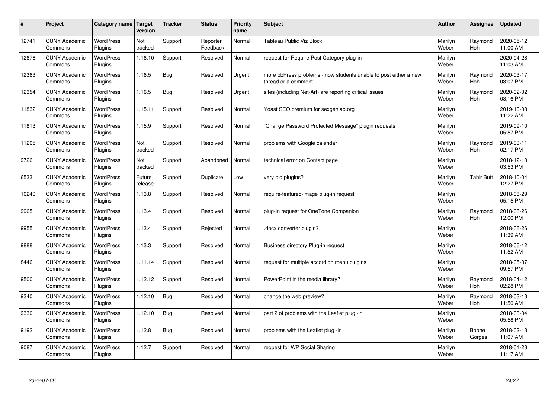| $\vert$ # | Project                         | Category name               | Target<br>version | <b>Tracker</b> | <b>Status</b>        | Priority<br>name | <b>Subject</b>                                                                          | <b>Author</b>    | <b>Assignee</b>       | <b>Updated</b>         |
|-----------|---------------------------------|-----------------------------|-------------------|----------------|----------------------|------------------|-----------------------------------------------------------------------------------------|------------------|-----------------------|------------------------|
| 12741     | <b>CUNY Academic</b><br>Commons | <b>WordPress</b><br>Plugins | Not<br>tracked    | Support        | Reporter<br>Feedback | Normal           | <b>Tableau Public Viz Block</b>                                                         | Marilyn<br>Weber | Raymond<br>Hoh        | 2020-05-12<br>11:00 AM |
| 12676     | <b>CUNY Academic</b><br>Commons | <b>WordPress</b><br>Plugins | 1.16.10           | Support        | Resolved             | Normal           | request for Require Post Category plug-in                                               | Marilyn<br>Weber |                       | 2020-04-28<br>11:03 AM |
| 12363     | <b>CUNY Academic</b><br>Commons | <b>WordPress</b><br>Plugins | 1.16.5            | Bug            | Resolved             | Urgent           | more bbPress problems - now students unable to post either a new<br>thread or a comment | Marilyn<br>Weber | Raymond<br>Hoh        | 2020-03-17<br>03:07 PM |
| 12354     | <b>CUNY Academic</b><br>Commons | <b>WordPress</b><br>Plugins | 1.16.5            | Bug            | Resolved             | Urgent           | sites (including Net-Art) are reporting critical issues                                 | Marilyn<br>Weber | Raymond<br><b>Hoh</b> | 2020-02-02<br>03:16 PM |
| 11832     | <b>CUNY Academic</b><br>Commons | <b>WordPress</b><br>Plugins | 1.15.11           | Support        | Resolved             | Normal           | Yoast SEO premium for sexgenlab.org                                                     | Marilyn<br>Weber |                       | 2019-10-08<br>11:22 AM |
| 11813     | <b>CUNY Academic</b><br>Commons | <b>WordPress</b><br>Plugins | 1.15.9            | Support        | Resolved             | Normal           | 'Change Password Protected Message" plugin requests                                     | Marilyn<br>Weber |                       | 2019-09-10<br>05:57 PM |
| 11205     | <b>CUNY Academic</b><br>Commons | <b>WordPress</b><br>Plugins | Not<br>tracked    | Support        | Resolved             | Normal           | problems with Google calendar                                                           | Marilyn<br>Weber | Raymond<br><b>Hoh</b> | 2019-03-11<br>02:17 PM |
| 9726      | <b>CUNY Academic</b><br>Commons | WordPress<br>Plugins        | Not<br>tracked    | Support        | Abandoned            | Normal           | technical error on Contact page                                                         | Marilyn<br>Weber |                       | 2018-12-10<br>03:53 PM |
| 6533      | <b>CUNY Academic</b><br>Commons | <b>WordPress</b><br>Plugins | Future<br>release | Support        | Duplicate            | Low              | very old plugins?                                                                       | Marilyn<br>Weber | <b>Tahir Butt</b>     | 2018-10-04<br>12:27 PM |
| 10240     | <b>CUNY Academic</b><br>Commons | <b>WordPress</b><br>Plugins | 1.13.8            | Support        | Resolved             | Normal           | require-featured-image plug-in request                                                  | Marilyn<br>Weber |                       | 2018-08-29<br>05:15 PM |
| 9965      | <b>CUNY Academic</b><br>Commons | <b>WordPress</b><br>Plugins | 1.13.4            | Support        | Resolved             | Normal           | plug-in request for OneTone Companion                                                   | Marilyn<br>Weber | Raymond<br><b>Hoh</b> | 2018-06-26<br>12:00 PM |
| 9955      | <b>CUNY Academic</b><br>Commons | <b>WordPress</b><br>Plugins | 1.13.4            | Support        | Rejected             | Normal           | docx converter plugin?                                                                  | Marilyn<br>Weber |                       | 2018-06-26<br>11:39 AM |
| 9888      | <b>CUNY Academic</b><br>Commons | <b>WordPress</b><br>Plugins | 1.13.3            | Support        | Resolved             | Normal           | Business directory Plug-in request                                                      | Marilyn<br>Weber |                       | 2018-06-12<br>11:52 AM |
| 8446      | <b>CUNY Academic</b><br>Commons | WordPress<br>Plugins        | 1.11.14           | Support        | Resolved             | Normal           | request for multiple accordion menu plugins                                             | Marilyn<br>Weber |                       | 2018-05-07<br>09:57 PM |
| 9500      | <b>CUNY Academic</b><br>Commons | <b>WordPress</b><br>Plugins | 1.12.12           | Support        | Resolved             | Normal           | PowerPoint in the media library?                                                        | Marilyn<br>Weber | Raymond<br>Hoh        | 2018-04-12<br>02:28 PM |
| 9340      | <b>CUNY Academic</b><br>Commons | WordPress<br>Plugins        | 1.12.10           | Bug            | Resolved             | Normal           | change the web preview?                                                                 | Marilyn<br>Weber | Raymond<br><b>Hoh</b> | 2018-03-13<br>11:50 AM |
| 9330      | <b>CUNY Academic</b><br>Commons | WordPress<br>Plugins        | 1.12.10           | Bug            | Resolved             | Normal           | part 2 of problems with the Leaflet plug -in                                            | Marilyn<br>Weber |                       | 2018-03-04<br>05:58 PM |
| 9192      | <b>CUNY Academic</b><br>Commons | WordPress<br>Plugins        | 1.12.8            | Bug            | Resolved             | Normal           | problems with the Leaflet plug -in                                                      | Marilyn<br>Weber | Boone<br>Gorges       | 2018-02-13<br>11:07 AM |
| 9087      | <b>CUNY Academic</b><br>Commons | WordPress<br>Plugins        | 1.12.7            | Support        | Resolved             | Normal           | request for WP Social Sharing                                                           | Marilyn<br>Weber |                       | 2018-01-23<br>11:17 AM |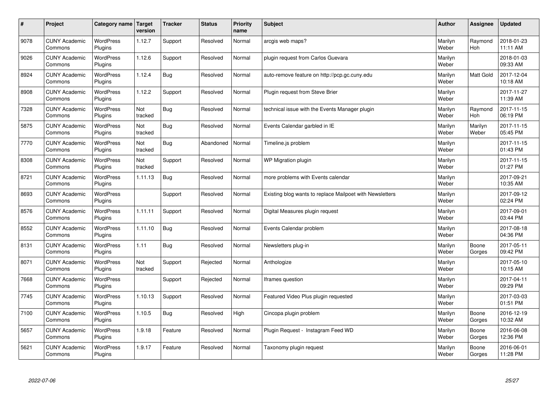| $\sharp$ | Project                         | Category name               | Target<br>version | <b>Tracker</b> | <b>Status</b> | <b>Priority</b><br>name | <b>Subject</b>                                           | <b>Author</b>    | Assignee              | <b>Updated</b>         |
|----------|---------------------------------|-----------------------------|-------------------|----------------|---------------|-------------------------|----------------------------------------------------------|------------------|-----------------------|------------------------|
| 9078     | <b>CUNY Academic</b><br>Commons | <b>WordPress</b><br>Plugins | 1.12.7            | Support        | Resolved      | Normal                  | arcgis web maps?                                         | Marilyn<br>Weber | Raymond<br><b>Hoh</b> | 2018-01-23<br>11:11 AM |
| 9026     | <b>CUNY Academic</b><br>Commons | <b>WordPress</b><br>Plugins | 1.12.6            | Support        | Resolved      | Normal                  | plugin request from Carlos Guevara                       | Marilyn<br>Weber |                       | 2018-01-03<br>09:33 AM |
| 8924     | <b>CUNY Academic</b><br>Commons | <b>WordPress</b><br>Plugins | 1.12.4            | <b>Bug</b>     | Resolved      | Normal                  | auto-remove feature on http://pcp.gc.cuny.edu            | Marilyn<br>Weber | <b>Matt Gold</b>      | 2017-12-04<br>10:18 AM |
| 8908     | <b>CUNY Academic</b><br>Commons | <b>WordPress</b><br>Plugins | 1.12.2            | Support        | Resolved      | Normal                  | Plugin request from Steve Brier                          | Marilyn<br>Weber |                       | 2017-11-27<br>11:39 AM |
| 7328     | <b>CUNY Academic</b><br>Commons | <b>WordPress</b><br>Plugins | Not<br>tracked    | Bug            | Resolved      | Normal                  | technical issue with the Events Manager plugin           | Marilyn<br>Weber | Raymond<br>Hoh        | 2017-11-15<br>06:19 PM |
| 5875     | <b>CUNY Academic</b><br>Commons | WordPress<br>Plugins        | Not<br>tracked    | Bug            | Resolved      | Normal                  | Events Calendar garbled in IE                            | Marilyn<br>Weber | Marilyn<br>Weber      | 2017-11-15<br>05:45 PM |
| 7770     | <b>CUNY Academic</b><br>Commons | <b>WordPress</b><br>Plugins | Not<br>tracked    | Bug            | Abandoned     | Normal                  | Timeline.js problem                                      | Marilyn<br>Weber |                       | 2017-11-15<br>01:43 PM |
| 8308     | <b>CUNY Academic</b><br>Commons | <b>WordPress</b><br>Plugins | Not<br>tracked    | Support        | Resolved      | Normal                  | WP Migration plugin                                      | Marilyn<br>Weber |                       | 2017-11-15<br>01:27 PM |
| 8721     | <b>CUNY Academic</b><br>Commons | <b>WordPress</b><br>Plugins | 1.11.13           | Bug            | Resolved      | Normal                  | more problems with Events calendar                       | Marilyn<br>Weber |                       | 2017-09-21<br>10:35 AM |
| 8693     | <b>CUNY Academic</b><br>Commons | WordPress<br>Plugins        |                   | Support        | Resolved      | Normal                  | Existing blog wants to replace Mailpoet with Newsletters | Marilyn<br>Weber |                       | 2017-09-12<br>02:24 PM |
| 8576     | <b>CUNY Academic</b><br>Commons | WordPress<br>Plugins        | 1.11.11           | Support        | Resolved      | Normal                  | Digital Measures plugin request                          | Marilyn<br>Weber |                       | 2017-09-01<br>03:44 PM |
| 8552     | <b>CUNY Academic</b><br>Commons | <b>WordPress</b><br>Plugins | 1.11.10           | Bug            | Resolved      | Normal                  | Events Calendar problem                                  | Marilyn<br>Weber |                       | 2017-08-18<br>04:36 PM |
| 8131     | <b>CUNY Academic</b><br>Commons | <b>WordPress</b><br>Plugins | 1.11              | <b>Bug</b>     | Resolved      | Normal                  | Newsletters plug-in                                      | Marilyn<br>Weber | Boone<br>Gorges       | 2017-05-11<br>09:42 PM |
| 8071     | <b>CUNY Academic</b><br>Commons | <b>WordPress</b><br>Plugins | Not<br>tracked    | Support        | Rejected      | Normal                  | Anthologize                                              | Marilyn<br>Weber |                       | 2017-05-10<br>10:15 AM |
| 7668     | <b>CUNY Academic</b><br>Commons | <b>WordPress</b><br>Plugins |                   | Support        | Rejected      | Normal                  | Iframes question                                         | Marilyn<br>Weber |                       | 2017-04-11<br>09:29 PM |
| 7745     | <b>CUNY Academic</b><br>Commons | <b>WordPress</b><br>Plugins | 1.10.13           | Support        | Resolved      | Normal                  | Featured Video Plus plugin requested                     | Marilyn<br>Weber |                       | 2017-03-03<br>01:51 PM |
| 7100     | <b>CUNY Academic</b><br>Commons | WordPress<br>Plugins        | 1.10.5            | Bug            | Resolved      | High                    | Cincopa plugin problem                                   | Marilyn<br>Weber | Boone<br>Gorges       | 2016-12-19<br>10:32 AM |
| 5657     | <b>CUNY Academic</b><br>Commons | WordPress<br>Plugins        | 1.9.18            | Feature        | Resolved      | Normal                  | Plugin Request - Instagram Feed WD                       | Marilyn<br>Weber | Boone<br>Gorges       | 2016-06-08<br>12:36 PM |
| 5621     | <b>CUNY Academic</b><br>Commons | WordPress<br>Plugins        | 1.9.17            | Feature        | Resolved      | Normal                  | Taxonomy plugin request                                  | Marilyn<br>Weber | Boone<br>Gorges       | 2016-06-01<br>11:28 PM |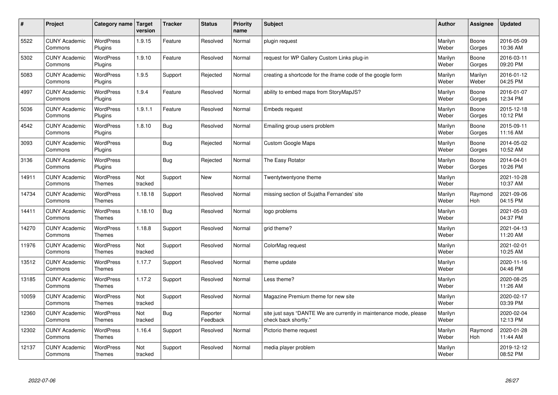| $\sharp$ | Project                         | Category name   Target            | version        | <b>Tracker</b> | <b>Status</b>        | Priority<br>name | <b>Subject</b>                                                                             | <b>Author</b>    | <b>Assignee</b>  | <b>Updated</b>         |
|----------|---------------------------------|-----------------------------------|----------------|----------------|----------------------|------------------|--------------------------------------------------------------------------------------------|------------------|------------------|------------------------|
| 5522     | <b>CUNY Academic</b><br>Commons | <b>WordPress</b><br>Plugins       | 1.9.15         | Feature        | Resolved             | Normal           | plugin request                                                                             | Marilyn<br>Weber | Boone<br>Gorges  | 2016-05-09<br>10:36 AM |
| 5302     | <b>CUNY Academic</b><br>Commons | <b>WordPress</b><br>Plugins       | 1.9.10         | Feature        | Resolved             | Normal           | request for WP Gallery Custom Links plug-in                                                | Marilyn<br>Weber | Boone<br>Gorges  | 2016-03-11<br>09:20 PM |
| 5083     | <b>CUNY Academic</b><br>Commons | WordPress<br>Plugins              | 1.9.5          | Support        | Rejected             | Normal           | creating a shortcode for the iframe code of the google form                                | Marilyn<br>Weber | Marilyn<br>Weber | 2016-01-12<br>04:25 PM |
| 4997     | <b>CUNY Academic</b><br>Commons | <b>WordPress</b><br>Plugins       | 1.9.4          | Feature        | Resolved             | Normal           | ability to embed maps from StoryMapJS?                                                     | Marilyn<br>Weber | Boone<br>Gorges  | 2016-01-07<br>12:34 PM |
| 5036     | <b>CUNY Academic</b><br>Commons | <b>WordPress</b><br>Plugins       | 1.9.1.1        | Feature        | Resolved             | Normal           | Embeds request                                                                             | Marilyn<br>Weber | Boone<br>Gorges  | 2015-12-18<br>10:12 PM |
| 4542     | <b>CUNY Academic</b><br>Commons | <b>WordPress</b><br>Plugins       | 1.8.10         | Bug            | Resolved             | Normal           | Emailing group users problem                                                               | Marilyn<br>Weber | Boone<br>Gorges  | 2015-09-11<br>11:16 AM |
| 3093     | <b>CUNY Academic</b><br>Commons | <b>WordPress</b><br>Plugins       |                | <b>Bug</b>     | Rejected             | Normal           | Custom Google Maps                                                                         | Marilyn<br>Weber | Boone<br>Gorges  | 2014-05-02<br>10:52 AM |
| 3136     | <b>CUNY Academic</b><br>Commons | WordPress<br>Plugins              |                | Bug            | Rejected             | Normal           | The Easy Rotator                                                                           | Marilyn<br>Weber | Boone<br>Gorges  | 2014-04-01<br>10:26 PM |
| 14911    | <b>CUNY Academic</b><br>Commons | <b>WordPress</b><br><b>Themes</b> | Not<br>tracked | Support        | <b>New</b>           | Normal           | Twentytwentyone theme                                                                      | Marilyn<br>Weber |                  | 2021-10-28<br>10:37 AM |
| 14734    | <b>CUNY Academic</b><br>Commons | WordPress<br><b>Themes</b>        | 1.18.18        | Support        | Resolved             | Normal           | missing section of Sujatha Fernandes' site                                                 | Marilyn<br>Weber | Raymond<br>Hoh   | 2021-09-06<br>04:15 PM |
| 14411    | <b>CUNY Academic</b><br>Commons | <b>WordPress</b><br><b>Themes</b> | 1.18.10        | Bug            | Resolved             | Normal           | logo problems                                                                              | Marilyn<br>Weber |                  | 2021-05-03<br>04:37 PM |
| 14270    | <b>CUNY Academic</b><br>Commons | <b>WordPress</b><br><b>Themes</b> | 1.18.8         | Support        | Resolved             | Normal           | grid theme?                                                                                | Marilyn<br>Weber |                  | 2021-04-13<br>11:20 AM |
| 11976    | <b>CUNY Academic</b><br>Commons | <b>WordPress</b><br><b>Themes</b> | Not<br>tracked | Support        | Resolved             | Normal           | ColorMag request                                                                           | Marilyn<br>Weber |                  | 2021-02-01<br>10:25 AM |
| 13512    | <b>CUNY Academic</b><br>Commons | WordPress<br><b>Themes</b>        | 1.17.7         | Support        | Resolved             | Normal           | theme update                                                                               | Marilyn<br>Weber |                  | 2020-11-16<br>04:46 PM |
| 13185    | <b>CUNY Academic</b><br>Commons | WordPress<br><b>Themes</b>        | 1.17.2         | Support        | Resolved             | Normal           | Less theme?                                                                                | Marilyn<br>Weber |                  | 2020-08-25<br>11:26 AM |
| 10059    | <b>CUNY Academic</b><br>Commons | <b>WordPress</b><br>Themes        | Not<br>tracked | Support        | Resolved             | Normal           | Magazine Premium theme for new site                                                        | Marilyn<br>Weber |                  | 2020-02-17<br>03:39 PM |
| 12360    | <b>CUNY Academic</b><br>Commons | WordPress<br><b>Themes</b>        | Not<br>tracked | Bug            | Reporter<br>Feedback | Normal           | site just says "DANTE We are currently in maintenance mode, please<br>check back shortly." | Marilyn<br>Weber |                  | 2020-02-04<br>12:13 PM |
| 12302    | <b>CUNY Academic</b><br>Commons | WordPress<br>Themes               | 1.16.4         | Support        | Resolved             | Normal           | Pictorio theme request                                                                     | Marilyn<br>Weber | Raymond<br>Hoh   | 2020-01-28<br>11:44 AM |
| 12137    | <b>CUNY Academic</b><br>Commons | <b>WordPress</b><br><b>Themes</b> | Not<br>tracked | Support        | Resolved             | Normal           | media player problem                                                                       | Marilyn<br>Weber |                  | 2019-12-12<br>08:52 PM |